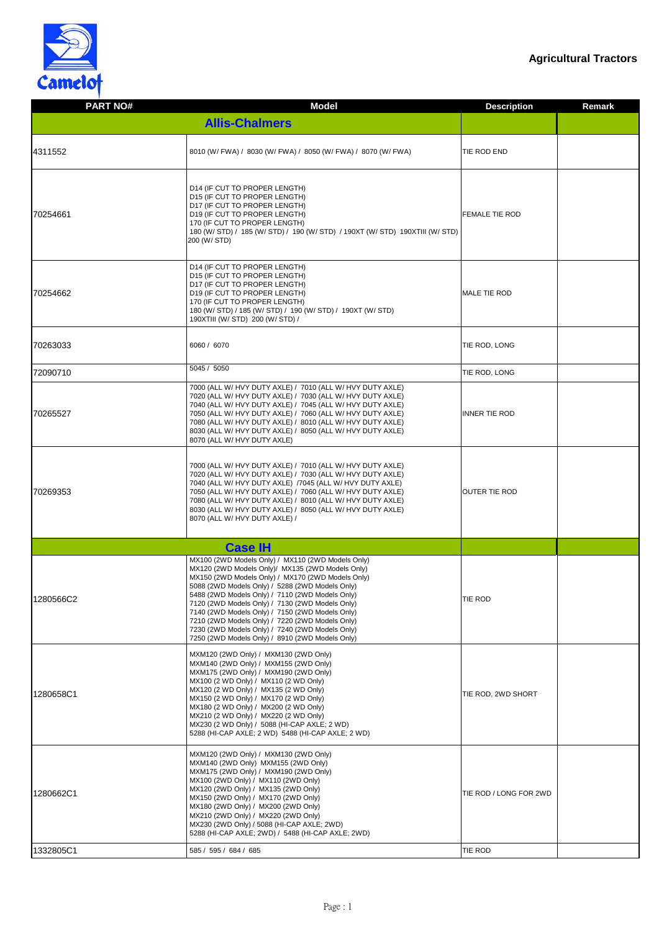

| <b>PART NO#</b> | <b>Model</b>                                                                                                                                                                                                                                                                                                                                                                                                                                                                                                                    | <b>Description</b><br><b>Remark</b> |
|-----------------|---------------------------------------------------------------------------------------------------------------------------------------------------------------------------------------------------------------------------------------------------------------------------------------------------------------------------------------------------------------------------------------------------------------------------------------------------------------------------------------------------------------------------------|-------------------------------------|
|                 | <b>Allis-Chalmers</b>                                                                                                                                                                                                                                                                                                                                                                                                                                                                                                           |                                     |
| 4311552         | 8010 (W/ FWA) / 8030 (W/ FWA) / 8050 (W/ FWA) / 8070 (W/ FWA)                                                                                                                                                                                                                                                                                                                                                                                                                                                                   | TIE ROD END                         |
| 70254661        | D14 (IF CUT TO PROPER LENGTH)<br>D15 (IF CUT TO PROPER LENGTH)<br>D17 (IF CUT TO PROPER LENGTH)<br>D19 (IF CUT TO PROPER LENGTH)<br>170 (IF CUT TO PROPER LENGTH)<br>180 (W/ STD) / 185 (W/ STD) / 190 (W/ STD) / 190XT (W/ STD) 190XTIII (W/ STD)<br>200 (W/ STD)                                                                                                                                                                                                                                                              | <b>FEMALE TIE ROD</b>               |
| 70254662        | D14 (IF CUT TO PROPER LENGTH)<br>D15 (IF CUT TO PROPER LENGTH)<br>D17 (IF CUT TO PROPER LENGTH)<br>D19 (IF CUT TO PROPER LENGTH)<br>170 (IF CUT TO PROPER LENGTH)<br>180 (W/ STD) / 185 (W/ STD) / 190 (W/ STD) / 190XT (W/ STD)<br>190XTIII (W/ STD) 200 (W/ STD) /                                                                                                                                                                                                                                                            | <b>MALE TIE ROD</b>                 |
| 70263033        | 6060 / 6070                                                                                                                                                                                                                                                                                                                                                                                                                                                                                                                     | TIE ROD, LONG                       |
| 72090710        | 5045 / 5050                                                                                                                                                                                                                                                                                                                                                                                                                                                                                                                     | TIE ROD, LONG                       |
| 70265527        | 7000 (ALL W/ HVY DUTY AXLE) / 7010 (ALL W/ HVY DUTY AXLE)<br>7020 (ALL W/ HVY DUTY AXLE) / 7030 (ALL W/ HVY DUTY AXLE)<br>7040 (ALL W/ HVY DUTY AXLE) / 7045 (ALL W/ HVY DUTY AXLE)<br>7050 (ALL W/ HVY DUTY AXLE) / 7060 (ALL W/ HVY DUTY AXLE)<br>7080 (ALL W/ HVY DUTY AXLE) / 8010 (ALL W/ HVY DUTY AXLE)<br>8030 (ALL W/ HVY DUTY AXLE) / 8050 (ALL W/ HVY DUTY AXLE)<br>8070 (ALL W/ HVY DUTY AXLE)                                                                                                                       | <b>INNER TIE ROD</b>                |
| 70269353        | 7000 (ALL W/ HVY DUTY AXLE) / 7010 (ALL W/ HVY DUTY AXLE)<br>7020 (ALL W/ HVY DUTY AXLE) / 7030 (ALL W/ HVY DUTY AXLE)<br>7040 (ALL W/ HVY DUTY AXLE) /7045 (ALL W/ HVY DUTY AXLE)<br>7050 (ALL W/ HVY DUTY AXLE) / 7060 (ALL W/ HVY DUTY AXLE)<br>7080 (ALL W/ HVY DUTY AXLE) / 8010 (ALL W/ HVY DUTY AXLE)<br>8030 (ALL W/ HVY DUTY AXLE) / 8050 (ALL W/ HVY DUTY AXLE)<br>8070 (ALL W/ HVY DUTY AXLE) /                                                                                                                      | <b>OUTER TIE ROD</b>                |
|                 | <b>Case IH</b>                                                                                                                                                                                                                                                                                                                                                                                                                                                                                                                  |                                     |
| 1280566C2       | MX100 (2WD Models Only) / MX110 (2WD Models Only)<br>MX120 (2WD Models Only)/ MX135 (2WD Models Only)<br>MX150 (2WD Models Only) / MX170 (2WD Models Only)<br>5088 (2WD Models Only) / 5288 (2WD Models Only)<br>5488 (2WD Models Only) / 7110 (2WD Models Only)<br>7120 (2WD Models Only) / 7130 (2WD Models Only)<br>7140 (2WD Models Only) / 7150 (2WD Models Only)<br>7210 (2WD Models Only) / 7220 (2WD Models Only)<br>7230 (2WD Models Only) / 7240 (2WD Models Only)<br>7250 (2WD Models Only) / 8910 (2WD Models Only) | TIE ROD                             |
| 1280658C1       | MXM120 (2WD Only) / MXM130 (2WD Only)<br>MXM140 (2WD Only) / MXM155 (2WD Only)<br>MXM175 (2WD Only) / MXM190 (2WD Only)<br>MX100 (2 WD Only) / MX110 (2 WD Only)<br>MX120 (2 WD Only) / MX135 (2 WD Only)<br>MX150 (2 WD Only) / MX170 (2 WD Only)<br>MX180 (2 WD Only) / MX200 (2 WD Only)<br>MX210 (2 WD Only) / MX220 (2 WD Only)<br>MX230 (2 WD Only) / 5088 (HI-CAP AXLE; 2 WD)<br>5288 (HI-CAP AXLE; 2 WD) 5488 (HI-CAP AXLE; 2 WD)                                                                                       | TIE ROD, 2WD SHORT                  |
| 1280662C1       | MXM120 (2WD Only) / MXM130 (2WD Only)<br>MXM140 (2WD Only) MXM155 (2WD Only)<br>MXM175 (2WD Only) / MXM190 (2WD Only)<br>MX100 (2WD Only) / MX110 (2WD Only)<br>MX120 (2WD Only) / MX135 (2WD Only)<br>MX150 (2WD Only) / MX170 (2WD Only)<br>MX180 (2WD Only) / MX200 (2WD Only)<br>MX210 (2WD Only) / MX220 (2WD Only)<br>MX230 (2WD Only) / 5088 (HI-CAP AXLE; 2WD)<br>5288 (HI-CAP AXLE; 2WD) / 5488 (HI-CAP AXLE; 2WD)                                                                                                     | TIE ROD / LONG FOR 2WD              |
| 1332805C1       | 585 / 595 / 684 / 685                                                                                                                                                                                                                                                                                                                                                                                                                                                                                                           | TIE ROD                             |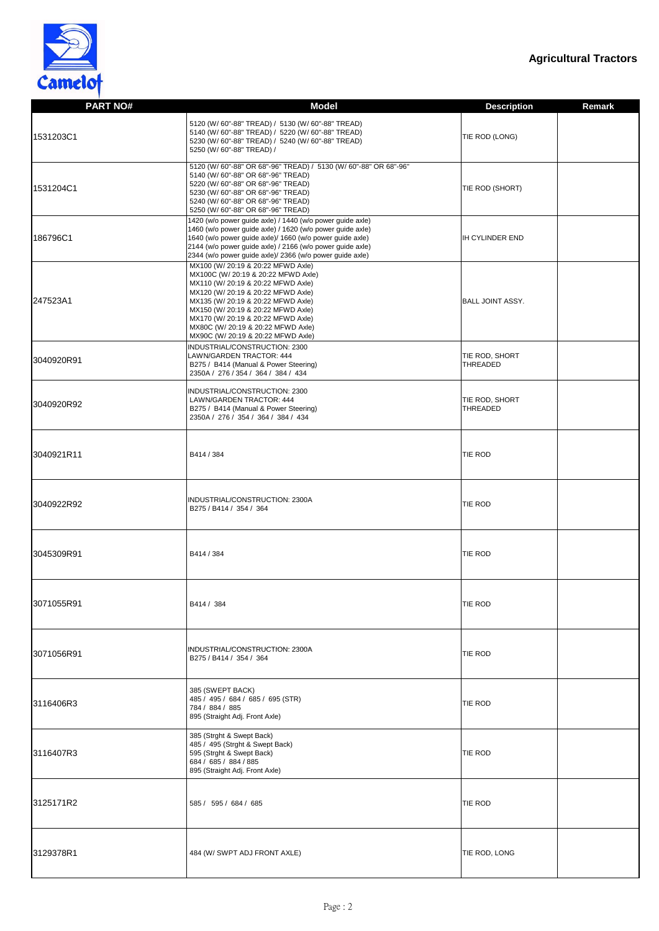

| <b>PART NO#</b> | <b>Model</b>                                                                                                                                                                                                                                                                                                                                        | <b>Description</b>         | <b>Remark</b> |
|-----------------|-----------------------------------------------------------------------------------------------------------------------------------------------------------------------------------------------------------------------------------------------------------------------------------------------------------------------------------------------------|----------------------------|---------------|
| 1531203C1       | 5120 (W/ 60"-88" TREAD) / 5130 (W/ 60"-88" TREAD)<br>5140 (W/ 60"-88" TREAD) / 5220 (W/ 60"-88" TREAD)<br>5230 (W/ 60"-88" TREAD) / 5240 (W/ 60"-88" TREAD)<br>5250 (W/ 60"-88" TREAD) /                                                                                                                                                            | TIE ROD (LONG)             |               |
| 1531204C1       | 5120 (W/60"-88" OR 68"-96" TREAD) / 5130 (W/60"-88" OR 68"-96"<br>5140 (W/60"-88" OR 68"-96" TREAD)<br>5220 (W/60"-88" OR 68"-96" TREAD)<br>5230 (W/ 60"-88" OR 68"-96" TREAD)<br>5240 (W/ 60"-88" OR 68"-96" TREAD)<br>5250 (W/ 60"-88" OR 68"-96" TREAD)                                                                                          | TIE ROD (SHORT)            |               |
| 186796C1        | 1420 (w/o power guide axle) / 1440 (w/o power guide axle)<br>1460 (w/o power guide axle) / 1620 (w/o power guide axle)<br>1640 (w/o power guide axle)/ 1660 (w/o power guide axle)<br>2144 (w/o power guide axle) / 2166 (w/o power guide axle)<br>2344 (w/o power guide axle)/ 2366 (w/o power guide axle)                                         | <b>IH CYLINDER END</b>     |               |
| 247523A1        | MX100 (W/ 20:19 & 20:22 MFWD Axle)<br>MX100C (W/ 20:19 & 20:22 MFWD Axle)<br>MX110 (W/ 20:19 & 20:22 MFWD Axle)<br>MX120 (W/ 20:19 & 20:22 MFWD Axle)<br>MX135 (W/ 20:19 & 20:22 MFWD Axle)<br>MX150 (W/ 20:19 & 20:22 MFWD Axle)<br>MX170 (W/ 20:19 & 20:22 MFWD Axle)<br>MX80C (W/ 20:19 & 20:22 MFWD Axle)<br>MX90C (W/ 20:19 & 20:22 MFWD Axle) | <b>BALL JOINT ASSY.</b>    |               |
| 3040920R91      | INDUSTRIAL/CONSTRUCTION: 2300<br>LAWN/GARDEN TRACTOR: 444<br>B275 / B414 (Manual & Power Steering)<br>2350A / 276 / 354 / 364 / 384 / 434                                                                                                                                                                                                           | TIE ROD, SHORT<br>THREADED |               |
| 3040920R92      | INDUSTRIAL/CONSTRUCTION: 2300<br>LAWN/GARDEN TRACTOR: 444<br>B275 / B414 (Manual & Power Steering)<br>2350A / 276 / 354 / 364 / 384 / 434                                                                                                                                                                                                           | TIE ROD, SHORT<br>THREADED |               |
| 3040921R11      | B414 / 384                                                                                                                                                                                                                                                                                                                                          | TIE ROD                    |               |
| 3040922R92      | INDUSTRIAL/CONSTRUCTION: 2300A<br>B275 / B414 / 354 / 364                                                                                                                                                                                                                                                                                           | TIE ROD                    |               |
| 3045309R91      | B414 / 384                                                                                                                                                                                                                                                                                                                                          | TIE ROD                    |               |
| 3071055R91      | B414 / 384                                                                                                                                                                                                                                                                                                                                          | <b>TIE ROD</b>             |               |
| 3071056R91      | INDUSTRIAL/CONSTRUCTION: 2300A<br>B275 / B414 / 354 / 364                                                                                                                                                                                                                                                                                           | TIE ROD                    |               |
| 3116406R3       | 385 (SWEPT BACK)<br>485 / 495 / 684 / 685 / 695 (STR)<br>784 / 884 / 885<br>895 (Straight Adj. Front Axle)                                                                                                                                                                                                                                          | TIE ROD                    |               |
| 3116407R3       | 385 (Strght & Swept Back)<br>485 / 495 (Strght & Swept Back)<br>595 (Strght & Swept Back)<br>684 / 685 / 884 / 885<br>895 (Straight Adj. Front Axle)                                                                                                                                                                                                | <b>TIE ROD</b>             |               |
| 3125171R2       | 585 / 595 / 684 / 685                                                                                                                                                                                                                                                                                                                               | TIE ROD                    |               |
| 3129378R1       | 484 (W/ SWPT ADJ FRONT AXLE)                                                                                                                                                                                                                                                                                                                        | TIE ROD, LONG              |               |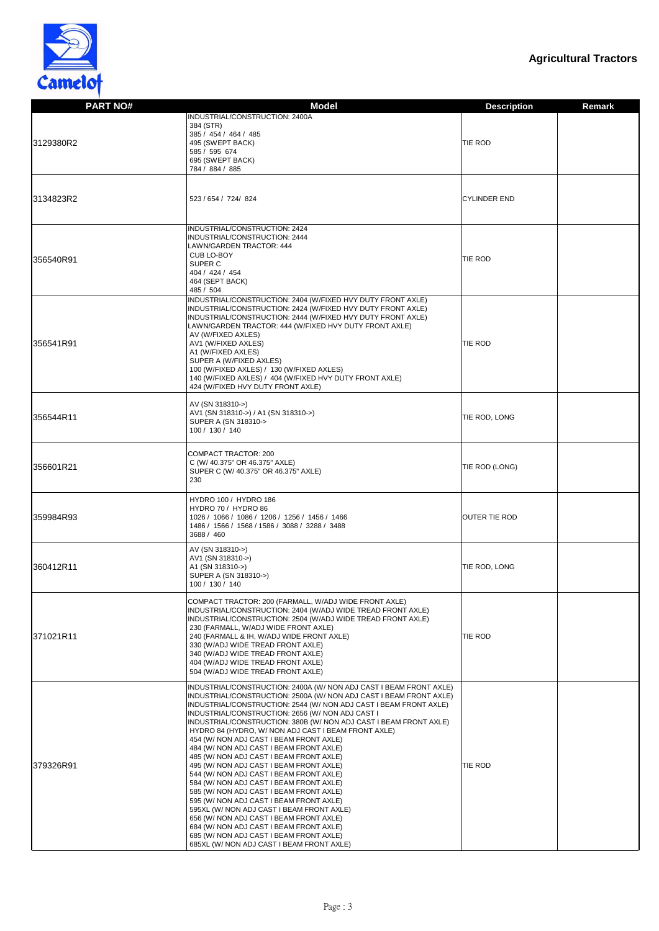

| <b>PART NO#</b> | <b>Model</b>                                                                                                                            | <b>Description</b>   | <b>Remark</b> |
|-----------------|-----------------------------------------------------------------------------------------------------------------------------------------|----------------------|---------------|
|                 | INDUSTRIAL/CONSTRUCTION: 2400A                                                                                                          |                      |               |
|                 | 384 (STR)                                                                                                                               |                      |               |
| 3129380R2       | 385 / 454 / 464 / 485<br>495 (SWEPT BACK)                                                                                               | <b>TIE ROD</b>       |               |
|                 | 585 / 595 674                                                                                                                           |                      |               |
|                 | 695 (SWEPT BACK)                                                                                                                        |                      |               |
|                 | 784 / 884 / 885                                                                                                                         |                      |               |
|                 |                                                                                                                                         |                      |               |
| 3134823R2       | 523 / 654 / 724 / 824                                                                                                                   | <b>CYLINDER END</b>  |               |
|                 |                                                                                                                                         |                      |               |
|                 | INDUSTRIAL/CONSTRUCTION: 2424<br>INDUSTRIAL/CONSTRUCTION: 2444                                                                          |                      |               |
|                 | LAWN/GARDEN TRACTOR: 444                                                                                                                |                      |               |
| 356540R91       | CUB LO-BOY                                                                                                                              | <b>TIE ROD</b>       |               |
|                 | SUPER C<br>404 / 424 / 454                                                                                                              |                      |               |
|                 | 464 (SEPT BACK)                                                                                                                         |                      |               |
|                 | 485 / 504<br>INDUSTRIAL/CONSTRUCTION: 2404 (W/FIXED HVY DUTY FRONT AXLE)                                                                |                      |               |
|                 | INDUSTRIAL/CONSTRUCTION: 2424 (W/FIXED HVY DUTY FRONT AXLE)                                                                             |                      |               |
|                 | INDUSTRIAL/CONSTRUCTION: 2444 (W/FIXED HVY DUTY FRONT AXLE)                                                                             |                      |               |
|                 | LAWN/GARDEN TRACTOR: 444 (W/FIXED HVY DUTY FRONT AXLE)<br>AV (W/FIXED AXLES)                                                            |                      |               |
| 356541R91       | AV1 (W/FIXED AXLES)                                                                                                                     | <b>TIE ROD</b>       |               |
|                 | A1 (W/FIXED AXLES)<br>SUPER A (W/FIXED AXLES)                                                                                           |                      |               |
|                 | 100 (W/FIXED AXLES) / 130 (W/FIXED AXLES)                                                                                               |                      |               |
|                 | 140 (W/FIXED AXLES) / 404 (W/FIXED HVY DUTY FRONT AXLE)<br>424 (W/FIXED HVY DUTY FRONT AXLE)                                            |                      |               |
|                 | AV (SN 318310->)                                                                                                                        |                      |               |
| 356544R11       | AV1 (SN 318310->) / A1 (SN 318310->)                                                                                                    | TIE ROD, LONG        |               |
|                 | SUPER A (SN 318310-><br>100 / 130 / 140                                                                                                 |                      |               |
|                 |                                                                                                                                         |                      |               |
|                 | COMPACT TRACTOR: 200                                                                                                                    |                      |               |
| 356601R21       | C (W/ 40.375" OR 46.375" AXLE)<br>SUPER C (W/ 40.375" OR 46.375" AXLE)                                                                  | TIE ROD (LONG)       |               |
|                 | 230                                                                                                                                     |                      |               |
|                 | HYDRO 100 / HYDRO 186                                                                                                                   |                      |               |
|                 | HYDRO 70 / HYDRO 86                                                                                                                     |                      |               |
| 359984R93       | 1026 / 1066 / 1086 / 1206 / 1256 / 1456 / 1466<br>1486 / 1566 / 1568 / 1586 / 3088 / 3288 / 3488                                        | <b>OUTER TIE ROD</b> |               |
|                 | 3688 / 460                                                                                                                              |                      |               |
|                 | AV (SN 318310->)                                                                                                                        |                      |               |
| 360412R11       | AV1 (SN 318310->)<br>A1 (SN 318310->)                                                                                                   | TIE ROD, LONG        |               |
|                 | SUPER A (SN 318310->)                                                                                                                   |                      |               |
|                 | 100 / 130 / 140                                                                                                                         |                      |               |
|                 | COMPACT TRACTOR: 200 (FARMALL, W/ADJ WIDE FRONT AXLE)<br>INDUSTRIAL/CONSTRUCTION: 2404 (W/ADJ WIDE TREAD FRONT AXLE)                    |                      |               |
|                 | INDUSTRIAL/CONSTRUCTION: 2504 (W/ADJ WIDE TREAD FRONT AXLE)                                                                             |                      |               |
| 371021R11       | 230 (FARMALL, W/ADJ WIDE FRONT AXLE)<br>240 (FARMALL & IH, W/ADJ WIDE FRONT AXLE)                                                       | <b>TIE ROD</b>       |               |
|                 | 330 (W/ADJ WIDE TREAD FRONT AXLE)                                                                                                       |                      |               |
|                 | 340 (W/ADJ WIDE TREAD FRONT AXLE)<br>404 (W/ADJ WIDE TREAD FRONT AXLE)                                                                  |                      |               |
|                 | 504 (W/ADJ WIDE TREAD FRONT AXLE)                                                                                                       |                      |               |
|                 | INDUSTRIAL/CONSTRUCTION: 2400A (W/ NON ADJ CAST I BEAM FRONT AXLE)                                                                      |                      |               |
|                 | INDUSTRIAL/CONSTRUCTION: 2500A (W/ NON ADJ CAST I BEAM FRONT AXLE)<br>INDUSTRIAL/CONSTRUCTION: 2544 (W/ NON ADJ CAST I BEAM FRONT AXLE) |                      |               |
|                 | INDUSTRIAL/CONSTRUCTION: 2656 (W/ NON ADJ CAST I                                                                                        |                      |               |
|                 | INDUSTRIAL/CONSTRUCTION: 380B (W/ NON ADJ CAST I BEAM FRONT AXLE)<br>HYDRO 84 (HYDRO, W/ NON ADJ CAST I BEAM FRONT AXLE)                |                      |               |
|                 | 454 (W/ NON ADJ CAST I BEAM FRONT AXLE)                                                                                                 |                      |               |
|                 | 484 (W/ NON ADJ CAST I BEAM FRONT AXLE)<br>485 (W/ NON ADJ CAST I BEAM FRONT AXLE)                                                      |                      |               |
| 379326R91       | 495 (W/ NON ADJ CAST I BEAM FRONT AXLE)                                                                                                 | TIE ROD              |               |
|                 | 544 (W/ NON ADJ CAST I BEAM FRONT AXLE)<br>584 (W/ NON ADJ CAST I BEAM FRONT AXLE)                                                      |                      |               |
|                 | 585 (W/ NON ADJ CAST I BEAM FRONT AXLE)                                                                                                 |                      |               |
|                 | 595 (W/ NON ADJ CAST I BEAM FRONT AXLE)<br>595XL (W/ NON ADJ CAST I BEAM FRONT AXLE)                                                    |                      |               |
|                 | 656 (W/ NON ADJ CAST I BEAM FRONT AXLE)                                                                                                 |                      |               |
|                 | 684 (W/ NON ADJ CAST I BEAM FRONT AXLE)<br>685 (W/ NON ADJ CAST I BEAM FRONT AXLE)                                                      |                      |               |
|                 | 685XL (W/ NON ADJ CAST I BEAM FRONT AXLE)                                                                                               |                      |               |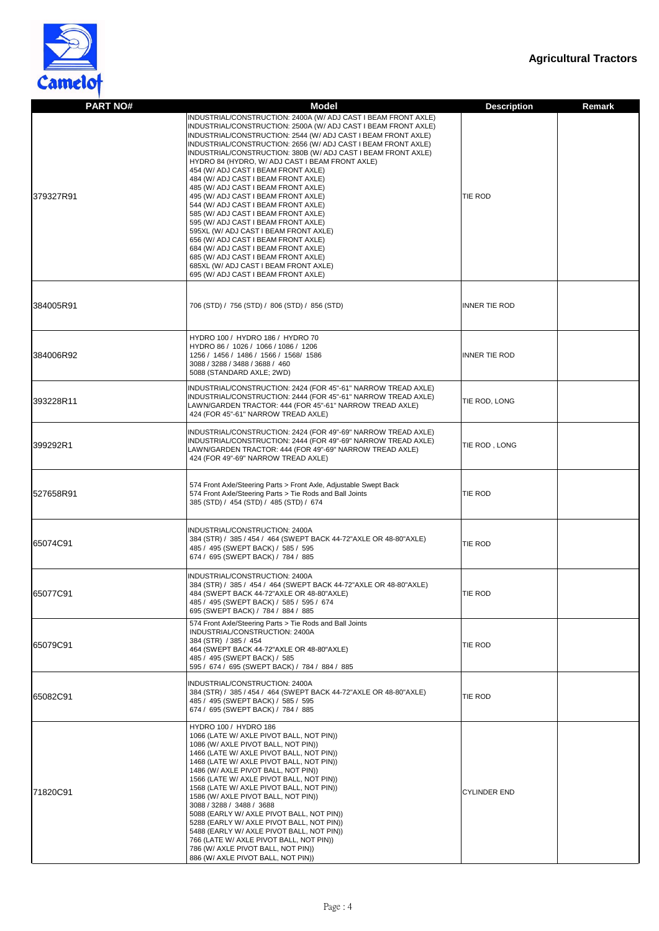

| <b>PART NO#</b>   | <b>Model</b>                                                                                                                                                                                                                                                                                                                                                                                                                                                                                                                                                                                                                                                                                                                                                                                                                                                                                                          | <b>Description</b>   | <b>Remark</b> |
|-------------------|-----------------------------------------------------------------------------------------------------------------------------------------------------------------------------------------------------------------------------------------------------------------------------------------------------------------------------------------------------------------------------------------------------------------------------------------------------------------------------------------------------------------------------------------------------------------------------------------------------------------------------------------------------------------------------------------------------------------------------------------------------------------------------------------------------------------------------------------------------------------------------------------------------------------------|----------------------|---------------|
| 379327R91         | INDUSTRIAL/CONSTRUCTION: 2400A (W/ ADJ CAST I BEAM FRONT AXLE)<br>INDUSTRIAL/CONSTRUCTION: 2500A (W/ ADJ CAST I BEAM FRONT AXLE)<br>INDUSTRIAL/CONSTRUCTION: 2544 (W/ ADJ CAST I BEAM FRONT AXLE)<br>INDUSTRIAL/CONSTRUCTION: 2656 (W/ ADJ CAST I BEAM FRONT AXLE)<br>INDUSTRIAL/CONSTRUCTION: 380B (W/ ADJ CAST I BEAM FRONT AXLE)<br>HYDRO 84 (HYDRO, W/ ADJ CAST I BEAM FRONT AXLE)<br>454 (W/ ADJ CAST I BEAM FRONT AXLE)<br>484 (W/ ADJ CAST I BEAM FRONT AXLE)<br>485 (W/ ADJ CAST I BEAM FRONT AXLE)<br>495 (W/ ADJ CAST I BEAM FRONT AXLE)<br>544 (W/ ADJ CAST I BEAM FRONT AXLE)<br>585 (W/ ADJ CAST I BEAM FRONT AXLE)<br>595 (W/ ADJ CAST I BEAM FRONT AXLE)<br>595XL (W/ ADJ CAST I BEAM FRONT AXLE)<br>656 (W/ ADJ CAST I BEAM FRONT AXLE)<br>684 (W/ ADJ CAST I BEAM FRONT AXLE)<br>685 (W/ ADJ CAST I BEAM FRONT AXLE)<br>685XL (W/ ADJ CAST I BEAM FRONT AXLE)<br>695 (W/ ADJ CAST I BEAM FRONT AXLE) | <b>TIE ROD</b>       |               |
| 384005R91         | 706 (STD) / 756 (STD) / 806 (STD) / 856 (STD)                                                                                                                                                                                                                                                                                                                                                                                                                                                                                                                                                                                                                                                                                                                                                                                                                                                                         | <b>INNER TIE ROD</b> |               |
| 384006R92         | HYDRO 100 / HYDRO 186 / HYDRO 70<br>HYDRO 86 / 1026 / 1066 / 1086 / 1206<br>1256 / 1456 / 1486 / 1566 / 1568 / 1586<br>3088 / 3288 / 3488 / 3688 / 460<br>5088 (STANDARD AXLE; 2WD)                                                                                                                                                                                                                                                                                                                                                                                                                                                                                                                                                                                                                                                                                                                                   | <b>INNER TIE ROD</b> |               |
| 393228R11         | INDUSTRIAL/CONSTRUCTION: 2424 (FOR 45"-61" NARROW TREAD AXLE)<br>INDUSTRIAL/CONSTRUCTION: 2444 (FOR 45"-61" NARROW TREAD AXLE)<br>LAWN/GARDEN TRACTOR: 444 (FOR 45"-61" NARROW TREAD AXLE)<br>424 (FOR 45"-61" NARROW TREAD AXLE)                                                                                                                                                                                                                                                                                                                                                                                                                                                                                                                                                                                                                                                                                     | TIE ROD, LONG        |               |
| 399292R1          | INDUSTRIAL/CONSTRUCTION: 2424 (FOR 49"-69" NARROW TREAD AXLE)<br>INDUSTRIAL/CONSTRUCTION: 2444 (FOR 49"-69" NARROW TREAD AXLE)<br>LAWN/GARDEN TRACTOR: 444 (FOR 49"-69" NARROW TREAD AXLE)<br>424 (FOR 49"-69" NARROW TREAD AXLE)                                                                                                                                                                                                                                                                                                                                                                                                                                                                                                                                                                                                                                                                                     | TIE ROD, LONG        |               |
| <b>I527658R91</b> | 574 Front Axle/Steering Parts > Front Axle, Adjustable Swept Back<br>574 Front Axle/Steering Parts > Tie Rods and Ball Joints<br>385 (STD) / 454 (STD) / 485 (STD) / 674                                                                                                                                                                                                                                                                                                                                                                                                                                                                                                                                                                                                                                                                                                                                              | TIE ROD              |               |
| 65074C91          | INDUSTRIAL/CONSTRUCTION: 2400A<br>384 (STR) / 385 / 454 / 464 (SWEPT BACK 44-72"AXLE OR 48-80"AXLE)<br>485 / 495 (SWEPT BACK) / 585 / 595<br>674 / 695 (SWEPT BACK) / 784 / 885                                                                                                                                                                                                                                                                                                                                                                                                                                                                                                                                                                                                                                                                                                                                       | TIE ROD              |               |
| 65077C91          | <b>INDUSTRIAL/CONSTRUCTION: 2400A</b><br>384 (STR) / 385 / 454 / 464 (SWEPT BACK 44-72"AXLE OR 48-80"AXLE)<br>484 (SWEPT BACK 44-72"AXLE OR 48-80"AXLE)<br>485 / 495 (SWEPT BACK) / 585 / 595 / 674<br>695 (SWEPT BACK) / 784 / 884 / 885                                                                                                                                                                                                                                                                                                                                                                                                                                                                                                                                                                                                                                                                             | <b>TIE ROD</b>       |               |
| 65079C91          | 574 Front Axle/Steering Parts > Tie Rods and Ball Joints<br>INDUSTRIAL/CONSTRUCTION: 2400A<br>384 (STR) / 385 / 454<br>464 (SWEPT BACK 44-72"AXLE OR 48-80"AXLE)<br>485 / 495 (SWEPT BACK) / 585<br>595 / 674 / 695 (SWEPT BACK) / 784 / 884 / 885                                                                                                                                                                                                                                                                                                                                                                                                                                                                                                                                                                                                                                                                    | <b>TIE ROD</b>       |               |
| 65082C91          | INDUSTRIAL/CONSTRUCTION: 2400A<br>384 (STR) / 385 / 454 / 464 (SWEPT BACK 44-72" AXLE OR 48-80" AXLE)<br>485 / 495 (SWEPT BACK) / 585 / 595<br>674 / 695 (SWEPT BACK) / 784 / 885                                                                                                                                                                                                                                                                                                                                                                                                                                                                                                                                                                                                                                                                                                                                     | <b>TIE ROD</b>       |               |
| 71820C91          | HYDRO 100 / HYDRO 186<br>1066 (LATE W/ AXLE PIVOT BALL, NOT PIN))<br>1086 (W/ AXLE PIVOT BALL, NOT PIN))<br>1466 (LATE W/ AXLE PIVOT BALL, NOT PIN))<br>1468 (LATE W/ AXLE PIVOT BALL, NOT PIN))<br>1486 (W/ AXLE PIVOT BALL, NOT PIN))<br>1566 (LATE W/ AXLE PIVOT BALL, NOT PIN))<br>1568 (LATE W/ AXLE PIVOT BALL, NOT PIN))<br>1586 (W/ AXLE PIVOT BALL, NOT PIN))<br>3088 / 3288 / 3488 / 3688<br>5088 (EARLY W/ AXLE PIVOT BALL, NOT PIN))<br>5288 (EARLY W/ AXLE PIVOT BALL, NOT PIN))<br>5488 (EARLY W/ AXLE PIVOT BALL, NOT PIN))<br>766 (LATE W/ AXLE PIVOT BALL, NOT PIN))<br>786 (W/ AXLE PIVOT BALL, NOT PIN))<br>886 (W/ AXLE PIVOT BALL, NOT PIN))                                                                                                                                                                                                                                                     | <b>CYLINDER END</b>  |               |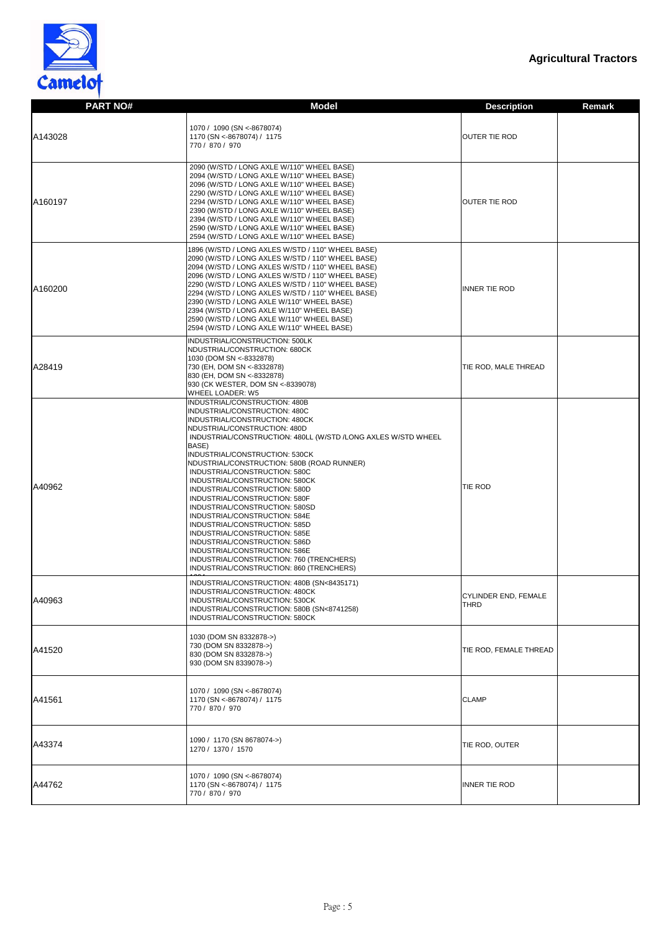

| <b>PART NO#</b> | <b>Model</b>                                                                                                                                                                                                                                                                                                                                                                                                                                                                                                                                                                                                                                                                                                                   | <b>Description</b><br><b>Remark</b> |
|-----------------|--------------------------------------------------------------------------------------------------------------------------------------------------------------------------------------------------------------------------------------------------------------------------------------------------------------------------------------------------------------------------------------------------------------------------------------------------------------------------------------------------------------------------------------------------------------------------------------------------------------------------------------------------------------------------------------------------------------------------------|-------------------------------------|
| A143028         | 1070 / 1090 (SN <-8678074)<br>1170 (SN <- 8678074) / 1175<br>770 / 870 / 970                                                                                                                                                                                                                                                                                                                                                                                                                                                                                                                                                                                                                                                   | <b>OUTER TIE ROD</b>                |
| A160197         | 2090 (W/STD / LONG AXLE W/110" WHEEL BASE)<br>2094 (W/STD / LONG AXLE W/110" WHEEL BASE)<br>2096 (W/STD / LONG AXLE W/110" WHEEL BASE)<br>2290 (W/STD / LONG AXLE W/110" WHEEL BASE)<br>2294 (W/STD / LONG AXLE W/110" WHEEL BASE)<br>2390 (W/STD / LONG AXLE W/110" WHEEL BASE)<br>2394 (W/STD / LONG AXLE W/110" WHEEL BASE)<br>2590 (W/STD / LONG AXLE W/110" WHEEL BASE)<br>2594 (W/STD / LONG AXLE W/110" WHEEL BASE)                                                                                                                                                                                                                                                                                                     | <b>OUTER TIE ROD</b>                |
| A160200         | 1896 (W/STD / LONG AXLES W/STD / 110" WHEEL BASE)<br>2090 (W/STD / LONG AXLES W/STD / 110" WHEEL BASE)<br>2094 (W/STD / LONG AXLES W/STD / 110" WHEEL BASE)<br>2096 (W/STD / LONG AXLES W/STD / 110" WHEEL BASE)<br>2290 (W/STD / LONG AXLES W/STD / 110" WHEEL BASE)<br>2294 (W/STD / LONG AXLES W/STD / 110" WHEEL BASE)<br>2390 (W/STD / LONG AXLE W/110" WHEEL BASE)<br>2394 (W/STD / LONG AXLE W/110" WHEEL BASE)<br>2590 (W/STD / LONG AXLE W/110" WHEEL BASE)<br>2594 (W/STD / LONG AXLE W/110" WHEEL BASE)                                                                                                                                                                                                             | <b>INNER TIE ROD</b>                |
| A28419          | INDUSTRIAL/CONSTRUCTION: 500LK<br>NDUSTRIAL/CONSTRUCTION: 680CK<br>1030 (DOM SN <- 8332878)<br>730 (EH, DOM SN <-8332878)<br>830 (EH, DOM SN <-8332878)<br>930 (CK WESTER, DOM SN <- 8339078)<br><b>WHEEL LOADER: W5</b>                                                                                                                                                                                                                                                                                                                                                                                                                                                                                                       | TIE ROD, MALE THREAD                |
| A40962          | INDUSTRIAL/CONSTRUCTION: 480B<br>INDUSTRIAL/CONSTRUCTION: 480C<br>INDUSTRIAL/CONSTRUCTION: 480CK<br>NDUSTRIAL/CONSTRUCTION: 480D<br>INDUSTRIAL/CONSTRUCTION: 480LL (W/STD /LONG AXLES W/STD WHEEL<br>BASE)<br>INDUSTRIAL/CONSTRUCTION: 530CK<br>NDUSTRIAL/CONSTRUCTION: 580B (ROAD RUNNER)<br>INDUSTRIAL/CONSTRUCTION: 580C<br>INDUSTRIAL/CONSTRUCTION: 580CK<br>INDUSTRIAL/CONSTRUCTION: 580D<br>INDUSTRIAL/CONSTRUCTION: 580F<br>INDUSTRIAL/CONSTRUCTION: 580SD<br>INDUSTRIAL/CONSTRUCTION: 584E<br>INDUSTRIAL/CONSTRUCTION: 585D<br>INDUSTRIAL/CONSTRUCTION: 585E<br>INDUSTRIAL/CONSTRUCTION: 586D<br>INDUSTRIAL/CONSTRUCTION: 586E<br>INDUSTRIAL/CONSTRUCTION: 760 (TRENCHERS)<br>INDUSTRIAL/CONSTRUCTION: 860 (TRENCHERS) | TIE ROD                             |
| A40963          | INDUSTRIAL/CONSTRUCTION: 480B (SN<8435171)<br>INDUSTRIAL/CONSTRUCTION: 480CK<br>INDUSTRIAL/CONSTRUCTION: 530CK<br>INDUSTRIAL/CONSTRUCTION: 580B (SN<8741258)<br>INDUSTRIAL/CONSTRUCTION: 580CK                                                                                                                                                                                                                                                                                                                                                                                                                                                                                                                                 | CYLINDER END, FEMALE<br><b>THRD</b> |
| A41520          | 1030 (DOM SN 8332878->)<br>730 (DOM SN 8332878->)<br>830 (DOM SN 8332878->)<br>930 (DOM SN 8339078->)                                                                                                                                                                                                                                                                                                                                                                                                                                                                                                                                                                                                                          | TIE ROD, FEMALE THREAD              |
| A41561          | 1070 / 1090 (SN <-8678074)<br>1170 (SN <- 8678074) / 1175<br>770 / 870 / 970                                                                                                                                                                                                                                                                                                                                                                                                                                                                                                                                                                                                                                                   | <b>CLAMP</b>                        |
| A43374          | 1090 / 1170 (SN 8678074->)<br>1270 / 1370 / 1570                                                                                                                                                                                                                                                                                                                                                                                                                                                                                                                                                                                                                                                                               | TIE ROD, OUTER                      |
| A44762          | 1070 / 1090 (SN <-8678074)<br>1170 (SN <- 8678074) / 1175<br>770 / 870 / 970                                                                                                                                                                                                                                                                                                                                                                                                                                                                                                                                                                                                                                                   | <b>INNER TIE ROD</b>                |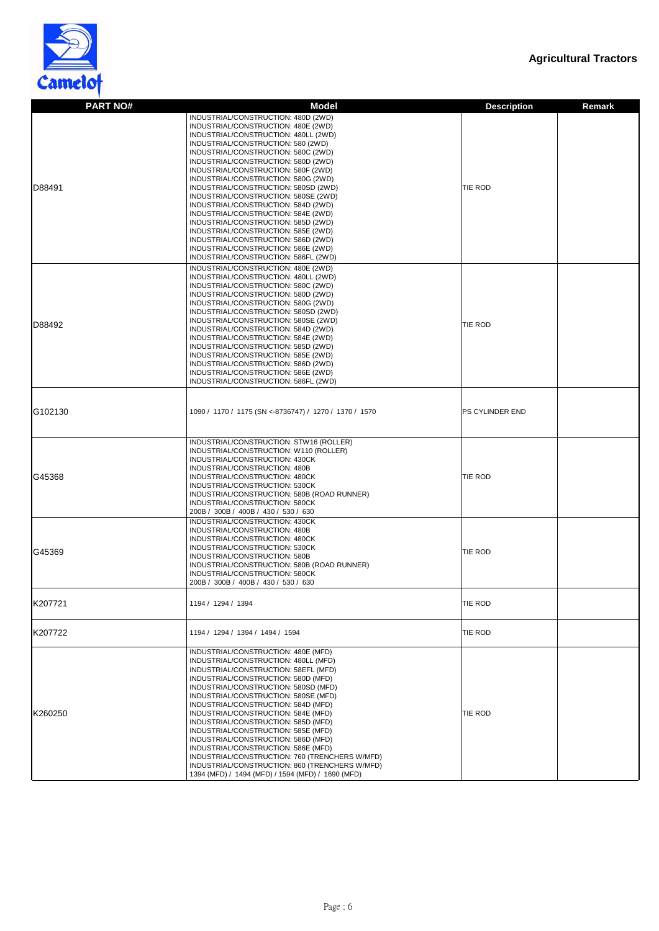



| <b>PART NO#</b> | <b>Model</b>                                                                                     | <b>Description</b><br><b>Remark</b> |
|-----------------|--------------------------------------------------------------------------------------------------|-------------------------------------|
|                 | INDUSTRIAL/CONSTRUCTION: 480D (2WD)                                                              |                                     |
|                 | INDUSTRIAL/CONSTRUCTION: 480E (2WD)                                                              |                                     |
|                 | INDUSTRIAL/CONSTRUCTION: 480LL (2WD)                                                             |                                     |
|                 | INDUSTRIAL/CONSTRUCTION: 580 (2WD)                                                               |                                     |
|                 | INDUSTRIAL/CONSTRUCTION: 580C (2WD)<br>INDUSTRIAL/CONSTRUCTION: 580D (2WD)                       |                                     |
|                 | INDUSTRIAL/CONSTRUCTION: 580F (2WD)                                                              |                                     |
|                 | INDUSTRIAL/CONSTRUCTION: 580G (2WD)                                                              |                                     |
| D88491          | INDUSTRIAL/CONSTRUCTION: 580SD (2WD)                                                             | TIE ROD                             |
|                 | INDUSTRIAL/CONSTRUCTION: 580SE (2WD)<br>INDUSTRIAL/CONSTRUCTION: 584D (2WD)                      |                                     |
|                 | INDUSTRIAL/CONSTRUCTION: 584E (2WD)                                                              |                                     |
|                 | INDUSTRIAL/CONSTRUCTION: 585D (2WD)                                                              |                                     |
|                 | INDUSTRIAL/CONSTRUCTION: 585E (2WD)                                                              |                                     |
|                 | INDUSTRIAL/CONSTRUCTION: 586D (2WD)<br>INDUSTRIAL/CONSTRUCTION: 586E (2WD)                       |                                     |
|                 | INDUSTRIAL/CONSTRUCTION: 586FL (2WD)                                                             |                                     |
|                 | INDUSTRIAL/CONSTRUCTION: 480E (2WD)                                                              |                                     |
|                 | INDUSTRIAL/CONSTRUCTION: 480LL (2WD)                                                             |                                     |
|                 | INDUSTRIAL/CONSTRUCTION: 580C (2WD)                                                              |                                     |
|                 | INDUSTRIAL/CONSTRUCTION: 580D (2WD)                                                              |                                     |
|                 | INDUSTRIAL/CONSTRUCTION: 580G (2WD)<br>INDUSTRIAL/CONSTRUCTION: 580SD (2WD)                      |                                     |
|                 | INDUSTRIAL/CONSTRUCTION: 580SE (2WD)                                                             |                                     |
| D88492          | INDUSTRIAL/CONSTRUCTION: 584D (2WD)                                                              | TIE ROD                             |
|                 | INDUSTRIAL/CONSTRUCTION: 584E (2WD)                                                              |                                     |
|                 | INDUSTRIAL/CONSTRUCTION: 585D (2WD)<br>INDUSTRIAL/CONSTRUCTION: 585E (2WD)                       |                                     |
|                 | INDUSTRIAL/CONSTRUCTION: 586D (2WD)                                                              |                                     |
|                 | INDUSTRIAL/CONSTRUCTION: 586E (2WD)                                                              |                                     |
|                 | INDUSTRIAL/CONSTRUCTION: 586FL (2WD)                                                             |                                     |
|                 |                                                                                                  |                                     |
|                 |                                                                                                  |                                     |
| G102130         | 1090 / 1170 / 1175 (SN <- 8736747) / 1270 / 1370 / 1570                                          | <b>PS CYLINDER END</b>              |
|                 |                                                                                                  |                                     |
|                 | INDUSTRIAL/CONSTRUCTION: STW16 (ROLLER)                                                          |                                     |
|                 | INDUSTRIAL/CONSTRUCTION: W110 (ROLLER)                                                           |                                     |
|                 | INDUSTRIAL/CONSTRUCTION: 430CK                                                                   |                                     |
|                 | INDUSTRIAL/CONSTRUCTION: 480B<br>INDUSTRIAL/CONSTRUCTION: 480CK                                  |                                     |
| G45368          | INDUSTRIAL/CONSTRUCTION: 530CK                                                                   | TIE ROD                             |
|                 | INDUSTRIAL/CONSTRUCTION: 580B (ROAD RUNNER)                                                      |                                     |
|                 | INDUSTRIAL/CONSTRUCTION: 580CK                                                                   |                                     |
|                 | 200B / 300B / 400B / 430 / 530 / 630                                                             |                                     |
|                 | INDUSTRIAL/CONSTRUCTION: 430CK<br>INDUSTRIAL/CONSTRUCTION: 480B                                  |                                     |
|                 | INDUSTRIAL/CONSTRUCTION: 480CK                                                                   |                                     |
| G45369          | INDUSTRIAL/CONSTRUCTION: 530CK                                                                   | TIE ROD                             |
|                 | INDUSTRIAL/CONSTRUCTION: 580B                                                                    |                                     |
|                 | INDUSTRIAL/CONSTRUCTION: 580B (ROAD RUNNER)<br>INDUSTRIAL/CONSTRUCTION: 580CK                    |                                     |
|                 | 200B / 300B / 400B / 430 / 530 / 630                                                             |                                     |
|                 |                                                                                                  |                                     |
| K207721         | 1194 / 1294 / 1394                                                                               | TIE ROD                             |
|                 |                                                                                                  |                                     |
|                 |                                                                                                  |                                     |
| K207722         | 1194 / 1294 / 1394 / 1494 / 1594                                                                 | TIE ROD                             |
|                 |                                                                                                  |                                     |
|                 | INDUSTRIAL/CONSTRUCTION: 480E (MFD)                                                              |                                     |
|                 | INDUSTRIAL/CONSTRUCTION: 480LL (MFD)<br>INDUSTRIAL/CONSTRUCTION: 58EFL (MFD)                     |                                     |
|                 | INDUSTRIAL/CONSTRUCTION: 580D (MFD)                                                              |                                     |
|                 | INDUSTRIAL/CONSTRUCTION: 580SD (MFD)                                                             |                                     |
|                 | INDUSTRIAL/CONSTRUCTION: 580SE (MFD)                                                             |                                     |
| K260250         | INDUSTRIAL/CONSTRUCTION: 584D (MFD)<br>INDUSTRIAL/CONSTRUCTION: 584E (MFD)                       | TIE ROD                             |
|                 | INDUSTRIAL/CONSTRUCTION: 585D (MFD)                                                              |                                     |
|                 | INDUSTRIAL/CONSTRUCTION: 585E (MFD)                                                              |                                     |
|                 | INDUSTRIAL/CONSTRUCTION: 586D (MFD)                                                              |                                     |
|                 | INDUSTRIAL/CONSTRUCTION: 586E (MFD)                                                              |                                     |
|                 | INDUSTRIAL/CONSTRUCTION: 760 (TRENCHERS W/MFD)<br>INDUSTRIAL/CONSTRUCTION: 860 (TRENCHERS W/MFD) |                                     |
|                 | 1394 (MFD) / 1494 (MFD) / 1594 (MFD) / 1690 (MFD)                                                |                                     |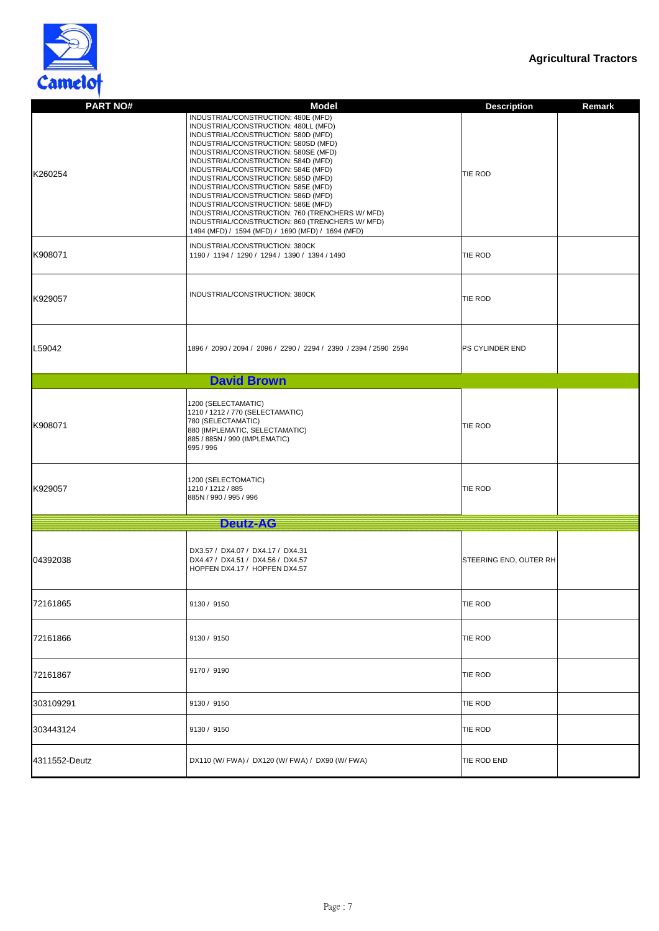



| <b>PART NO#</b> | <b>Model</b>                                                                                                                                                                                                                                                                                                                                                                                                                                                                                                                                                                                            | <b>Description</b>     | <b>Remark</b> |
|-----------------|---------------------------------------------------------------------------------------------------------------------------------------------------------------------------------------------------------------------------------------------------------------------------------------------------------------------------------------------------------------------------------------------------------------------------------------------------------------------------------------------------------------------------------------------------------------------------------------------------------|------------------------|---------------|
| K260254         | INDUSTRIAL/CONSTRUCTION: 480E (MFD)<br>INDUSTRIAL/CONSTRUCTION: 480LL (MFD)<br>INDUSTRIAL/CONSTRUCTION: 580D (MFD)<br>INDUSTRIAL/CONSTRUCTION: 580SD (MFD)<br>INDUSTRIAL/CONSTRUCTION: 580SE (MFD)<br>INDUSTRIAL/CONSTRUCTION: 584D (MFD)<br>INDUSTRIAL/CONSTRUCTION: 584E (MFD)<br>INDUSTRIAL/CONSTRUCTION: 585D (MFD)<br>INDUSTRIAL/CONSTRUCTION: 585E (MFD)<br>INDUSTRIAL/CONSTRUCTION: 586D (MFD)<br>INDUSTRIAL/CONSTRUCTION: 586E (MFD)<br>INDUSTRIAL/CONSTRUCTION: 760 (TRENCHERS W/ MFD)<br>INDUSTRIAL/CONSTRUCTION: 860 (TRENCHERS W/ MFD)<br>1494 (MFD) / 1594 (MFD) / 1690 (MFD) / 1694 (MFD) | <b>TIE ROD</b>         |               |
| K908071         | INDUSTRIAL/CONSTRUCTION: 380CK<br>1190 / 1194 / 1290 / 1294 / 1390 / 1394 / 1490                                                                                                                                                                                                                                                                                                                                                                                                                                                                                                                        | <b>TIE ROD</b>         |               |
| K929057         | INDUSTRIAL/CONSTRUCTION: 380CK                                                                                                                                                                                                                                                                                                                                                                                                                                                                                                                                                                          | <b>TIE ROD</b>         |               |
| L59042          | 1896 / 2090 / 2094 / 2096 / 2290 / 2294 / 2390 / 2394 / 2590 2594                                                                                                                                                                                                                                                                                                                                                                                                                                                                                                                                       | <b>PS CYLINDER END</b> |               |
|                 | <b>David Brown</b>                                                                                                                                                                                                                                                                                                                                                                                                                                                                                                                                                                                      |                        |               |
| K908071         | 1200 (SELECTAMATIC)<br>1210 / 1212 / 770 (SELECTAMATIC)<br>780 (SELECTAMATIC)<br>880 (IMPLEMATIC, SELECTAMATIC)<br>885 / 885N / 990 (IMPLEMATIC)<br>995 / 996                                                                                                                                                                                                                                                                                                                                                                                                                                           | <b>TIE ROD</b>         |               |
| K929057         | 1200 (SELECTOMATIC)<br>1210 / 1212 / 885<br>885N / 990 / 995 / 996                                                                                                                                                                                                                                                                                                                                                                                                                                                                                                                                      | <b>TIE ROD</b>         |               |
|                 | <b>Deutz-AC</b>                                                                                                                                                                                                                                                                                                                                                                                                                                                                                                                                                                                         |                        |               |
| 04392038        | DX3.57 / DX4.07 / DX4.17 / DX4.31<br>DX4.47 / DX4.51 / DX4.56 / DX4.57<br>HOPFEN DX4.17 / HOPFEN DX4.57                                                                                                                                                                                                                                                                                                                                                                                                                                                                                                 | STEERING END, OUTER RH |               |
| 72161865        | 9130 / 9150                                                                                                                                                                                                                                                                                                                                                                                                                                                                                                                                                                                             | <b>TIE ROD</b>         |               |
| 72161866        | 9130 / 9150                                                                                                                                                                                                                                                                                                                                                                                                                                                                                                                                                                                             | <b>TIE ROD</b>         |               |
| 72161867        | 9170 / 9190                                                                                                                                                                                                                                                                                                                                                                                                                                                                                                                                                                                             | <b>TIE ROD</b>         |               |
| 303109291       | 9130 / 9150                                                                                                                                                                                                                                                                                                                                                                                                                                                                                                                                                                                             | <b>TIE ROD</b>         |               |
| 303443124       | 9130 / 9150                                                                                                                                                                                                                                                                                                                                                                                                                                                                                                                                                                                             | <b>TIE ROD</b>         |               |
| 4311552-Deutz   | DX110 (W/ FWA) / DX120 (W/ FWA) / DX90 (W/ FWA)                                                                                                                                                                                                                                                                                                                                                                                                                                                                                                                                                         | TIE ROD END            |               |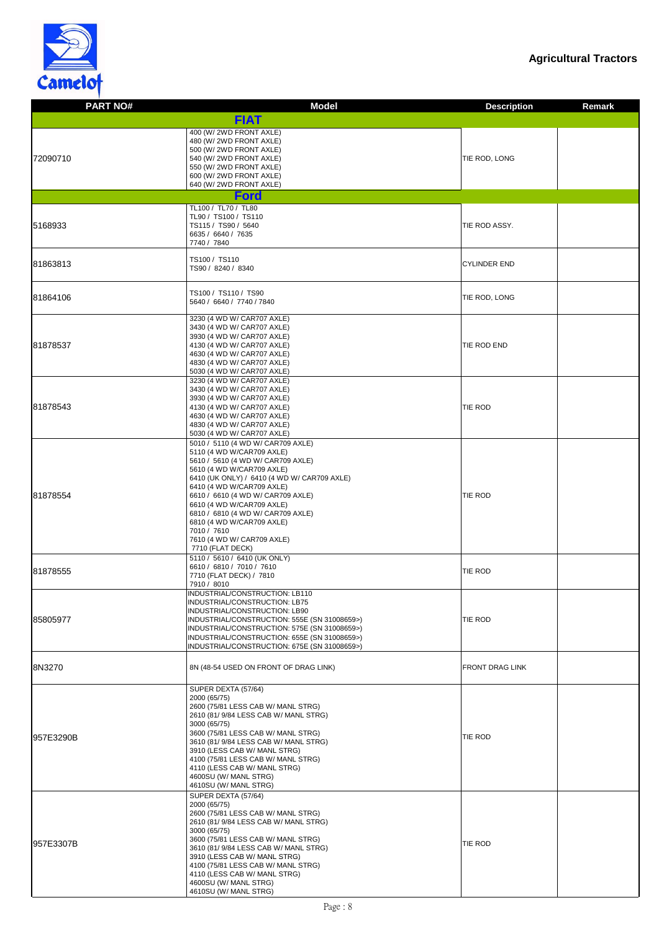

| <b>PART NO#</b> | <b>Model</b>                                                                                                                                                                                                                                                                                                                                                                                                      | <b>Description</b><br><b>Remark</b> |
|-----------------|-------------------------------------------------------------------------------------------------------------------------------------------------------------------------------------------------------------------------------------------------------------------------------------------------------------------------------------------------------------------------------------------------------------------|-------------------------------------|
|                 | FIAT                                                                                                                                                                                                                                                                                                                                                                                                              |                                     |
| 72090710        | 400 (W/2WD FRONT AXLE)<br>480 (W/2WD FRONT AXLE)<br>500 (W/ 2WD FRONT AXLE)<br>540 (W/ 2WD FRONT AXLE)<br>550 (W/ 2WD FRONT AXLE)<br>600 (W/2WD FRONT AXLE)<br>640 (W/2WD FRONT AXLE)                                                                                                                                                                                                                             | TIE ROD, LONG                       |
|                 | Ford                                                                                                                                                                                                                                                                                                                                                                                                              |                                     |
| 5168933         | TL100 / TL70 / TL80<br>TL90 / TS100 / TS110<br>TS115 / TS90 / 5640<br>6635 / 6640 / 7635<br>7740 / 7840                                                                                                                                                                                                                                                                                                           | TIE ROD ASSY.                       |
| 81863813        | TS100 / TS110<br>TS90 / 8240 / 8340                                                                                                                                                                                                                                                                                                                                                                               | <b>CYLINDER END</b>                 |
| 81864106        | TS100 / TS110 / TS90<br>5640 / 6640 / 7740 / 7840                                                                                                                                                                                                                                                                                                                                                                 | TIE ROD, LONG                       |
| 81878537        | 3230 (4 WD W/ CAR707 AXLE)<br>3430 (4 WD W/ CAR707 AXLE)<br>3930 (4 WD W/ CAR707 AXLE)<br>4130 (4 WD W/ CAR707 AXLE)<br>4630 (4 WD W/ CAR707 AXLE)<br>4830 (4 WD W/ CAR707 AXLE)<br>5030 (4 WD W/ CAR707 AXLE)                                                                                                                                                                                                    | TIE ROD END                         |
| 81878543        | 3230 (4 WD W/ CAR707 AXLE)<br>3430 (4 WD W/ CAR707 AXLE)<br>3930 (4 WD W/ CAR707 AXLE)<br>4130 (4 WD W/ CAR707 AXLE)<br>4630 (4 WD W/ CAR707 AXLE)<br>4830 (4 WD W/ CAR707 AXLE)<br>5030 (4 WD W/ CAR707 AXLE)                                                                                                                                                                                                    | TIE ROD                             |
| 81878554        | 5010 / 5110 (4 WD W/ CAR709 AXLE)<br>5110 (4 WD W/CAR709 AXLE)<br>5610 / 5610 (4 WD W/ CAR709 AXLE)<br>5610 (4 WD W/CAR709 AXLE)<br>6410 (UK ONLY) / 6410 (4 WD W/ CAR709 AXLE)<br>6410 (4 WD W/CAR709 AXLE)<br>6610 / 6610 (4 WD W/ CAR709 AXLE)<br>6610 (4 WD W/CAR709 AXLE)<br>6810 / 6810 (4 WD W/ CAR709 AXLE)<br>6810 (4 WD W/CAR709 AXLE)<br>7010 / 7610<br>7610 (4 WD W/ CAR709 AXLE)<br>7710 (FLAT DECK) | <b>TIE ROD</b>                      |
| 81878555        | 5110 / 5610 / 6410 (UK ONLY)<br>6610 / 6810 / 7010 / 7610<br>7710 (FLAT DECK) / 7810<br>7910 / 8010                                                                                                                                                                                                                                                                                                               | TIE ROD                             |
| 85805977        | INDUSTRIAL/CONSTRUCTION: LB110<br>INDUSTRIAL/CONSTRUCTION: LB75<br>INDUSTRIAL/CONSTRUCTION: LB90<br>INDUSTRIAL/CONSTRUCTION: 555E (SN 31008659>)<br>INDUSTRIAL/CONSTRUCTION: 575E (SN 31008659>)<br>INDUSTRIAL/CONSTRUCTION: 655E (SN 31008659>)<br>INDUSTRIAL/CONSTRUCTION: 675E (SN 31008659>)                                                                                                                  | TIE ROD                             |
| 8N3270          | 8N (48-54 USED ON FRONT OF DRAG LINK)                                                                                                                                                                                                                                                                                                                                                                             | <b>FRONT DRAG LINK</b>              |
| 957E3290B       | SUPER DEXTA (57/64)<br>2000 (65/75)<br>2600 (75/81 LESS CAB W/ MANL STRG)<br>2610 (81/ 9/84 LESS CAB W/ MANL STRG)<br>3000 (65/75)<br>3600 (75/81 LESS CAB W/ MANL STRG)<br>3610 (81/ 9/84 LESS CAB W/ MANL STRG)<br>3910 (LESS CAB W/ MANL STRG)<br>4100 (75/81 LESS CAB W/ MANL STRG)<br>4110 (LESS CAB W/ MANL STRG)<br>4600SU (W/ MANL STRG)<br>4610SU (W/ MANL STRG)                                         | TIE ROD                             |
| 957E3307B       | SUPER DEXTA (57/64)<br>2000 (65/75)<br>2600 (75/81 LESS CAB W/ MANL STRG)<br>2610 (81/ 9/84 LESS CAB W/ MANL STRG)<br>3000 (65/75)<br>3600 (75/81 LESS CAB W/ MANL STRG)<br>3610 (81/9/84 LESS CAB W/ MANL STRG)<br>3910 (LESS CAB W/ MANL STRG)<br>4100 (75/81 LESS CAB W/ MANL STRG)<br>4110 (LESS CAB W/ MANL STRG)<br>4600SU (W/ MANL STRG)<br>4610SU (W/ MANL STRG)                                          | <b>TIE ROD</b>                      |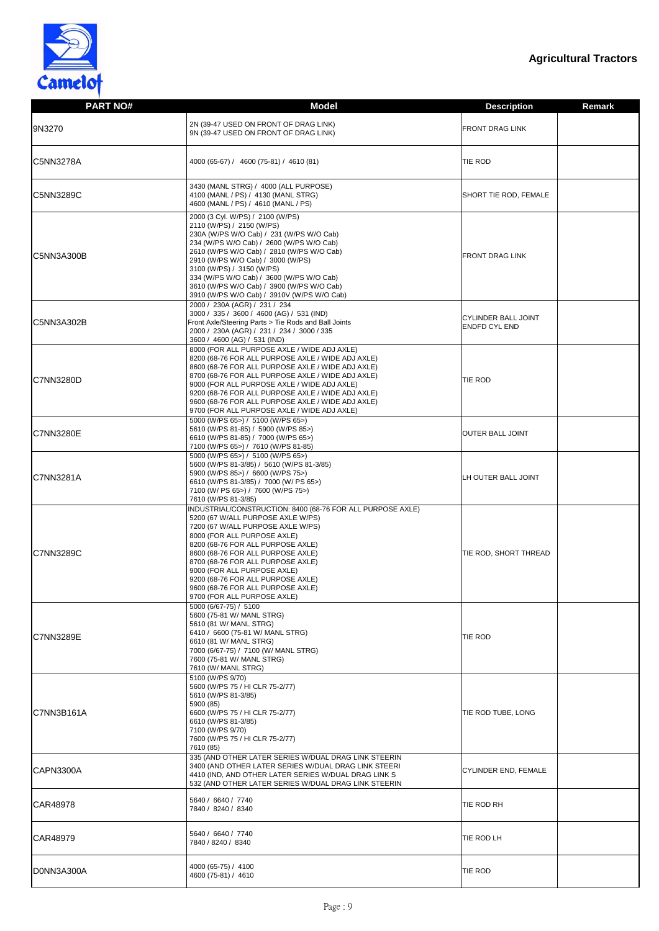

| <b>PART NO#</b>  | <b>Model</b>                                                                                                                                                                                                                                                                                                                                                                                                               | <b>Description</b>                                 | <b>Remark</b> |
|------------------|----------------------------------------------------------------------------------------------------------------------------------------------------------------------------------------------------------------------------------------------------------------------------------------------------------------------------------------------------------------------------------------------------------------------------|----------------------------------------------------|---------------|
| 9N3270           | 2N (39-47 USED ON FRONT OF DRAG LINK)<br>9N (39-47 USED ON FRONT OF DRAG LINK)                                                                                                                                                                                                                                                                                                                                             | <b>FRONT DRAG LINK</b>                             |               |
| <b>C5NN3278A</b> | 4000 (65-67) / 4600 (75-81) / 4610 (81)                                                                                                                                                                                                                                                                                                                                                                                    | <b>TIE ROD</b>                                     |               |
| <b>C5NN3289C</b> | 3430 (MANL STRG) / 4000 (ALL PURPOSE)<br>4100 (MANL / PS) / 4130 (MANL STRG)<br>4600 (MANL / PS) / 4610 (MANL / PS)                                                                                                                                                                                                                                                                                                        | <b>SHORT TIE ROD, FEMALE</b>                       |               |
| C5NN3A300B       | 2000 (3 Cyl. W/PS) / 2100 (W/PS)<br>2110 (W/PS) / 2150 (W/PS)<br>230A (W/PS W/O Cab) / 231 (W/PS W/O Cab)<br>234 (W/PS W/O Cab) / 2600 (W/PS W/O Cab)<br>2610 (W/PS W/O Cab) / 2810 (W/PS W/O Cab)<br>2910 (W/PS W/O Cab) / 3000 (W/PS)<br>3100 (W/PS) / 3150 (W/PS)<br>334 (W/PS W/O Cab) / 3600 (W/PS W/O Cab)<br>3610 (W/PS W/O Cab) / 3900 (W/PS W/O Cab)<br>3910 (W/PS W/O Cab) / 3910V (W/PS W/O Cab)                | <b>FRONT DRAG LINK</b>                             |               |
| IC5NN3A302B      | 2000 / 230A (AGR) / 231 / 234<br>3000 / 335 / 3600 / 4600 (AG) / 531 (IND)<br>Front Axle/Steering Parts > Tie Rods and Ball Joints<br>2000 / 230A (AGR) / 231 / 234 / 3000 / 335<br>3600 / 4600 (AG) / 531 (IND)<br>8000 (FOR ALL PURPOSE AXLE / WIDE ADJ AXLE)                                                                                                                                                            | <b>CYLINDER BALL JOINT</b><br><b>ENDFD CYL END</b> |               |
| C7NN3280D        | 8200 (68-76 FOR ALL PURPOSE AXLE / WIDE ADJ AXLE)<br>8600 (68-76 FOR ALL PURPOSE AXLE / WIDE ADJ AXLE)<br>8700 (68-76 FOR ALL PURPOSE AXLE / WIDE ADJ AXLE)<br>9000 (FOR ALL PURPOSE AXLE / WIDE ADJ AXLE)<br>9200 (68-76 FOR ALL PURPOSE AXLE / WIDE ADJ AXLE)<br>9600 (68-76 FOR ALL PURPOSE AXLE / WIDE ADJ AXLE)<br>9700 (FOR ALL PURPOSE AXLE / WIDE ADJ AXLE)                                                        | <b>TIE ROD</b>                                     |               |
| <b>C7NN3280E</b> | 5000 (W/PS 65>) / 5100 (W/PS 65>)<br>5610 (W/PS 81-85) / 5900 (W/PS 85>)<br>6610 (W/PS 81-85) / 7000 (W/PS 65>)<br>7100 (W/PS 65>) / 7610 (W/PS 81-85)<br>5000 (W/PS 65>) / 5100 (W/PS 65>)                                                                                                                                                                                                                                | <b>OUTER BALL JOINT</b>                            |               |
| <b>C7NN3281A</b> | 5600 (W/PS 81-3/85) / 5610 (W/PS 81-3/85)<br>5900 (W/PS 85>) / 6600 (W/PS 75>)<br>6610 (W/PS 81-3/85) / 7000 (W/ PS 65>)<br>7100 (W/ PS 65>) / 7600 (W/PS 75>)<br>7610 (W/PS 81-3/85)                                                                                                                                                                                                                                      | LH OUTER BALL JOINT                                |               |
| <b>C7NN3289C</b> | INDUSTRIAL/CONSTRUCTION: 8400 (68-76 FOR ALL PURPOSE AXLE)<br>5200 (67 W/ALL PURPOSE AXLE W/PS)<br>7200 (67 W/ALL PURPOSE AXLE W/PS)<br>8000 (FOR ALL PURPOSE AXLE)<br>8200 (68-76 FOR ALL PURPOSE AXLE)<br>8600 (68-76 FOR ALL PURPOSE AXLE)<br>8700 (68-76 FOR ALL PURPOSE AXLE)<br>9000 (FOR ALL PURPOSE AXLE)<br>9200 (68-76 FOR ALL PURPOSE AXLE)<br>9600 (68-76 FOR ALL PURPOSE AXLE)<br>9700 (FOR ALL PURPOSE AXLE) | TIE ROD, SHORT THREAD                              |               |
| C7NN3289E        | 5000 (6/67-75) / 5100<br>5600 (75-81 W/ MANL STRG)<br>5610 (81 W/ MANL STRG)<br>6410 / 6600 (75-81 W/ MANL STRG)<br>6610 (81 W/ MANL STRG)<br>7000 (6/67-75) / 7100 (W/ MANL STRG)<br>7600 (75-81 W/ MANL STRG)<br>7610 (W/ MANL STRG)                                                                                                                                                                                     | <b>TIE ROD</b>                                     |               |
| C7NN3B161A       | 5100 (W/PS 9/70)<br>5600 (W/PS 75 / HI CLR 75-2/77)<br>5610 (W/PS 81-3/85)<br>5900 (85)<br>6600 (W/PS 75 / HI CLR 75-2/77)<br>6610 (W/PS 81-3/85)<br>7100 (W/PS 9/70)<br>7600 (W/PS 75 / HI CLR 75-2/77)<br>7610 (85)                                                                                                                                                                                                      | TIE ROD TUBE, LONG                                 |               |
| CAPN3300A        | 335 (AND OTHER LATER SERIES W/DUAL DRAG LINK STEERIN<br>3400 (AND OTHER LATER SERIES W/DUAL DRAG LINK STEERI<br>4410 (IND, AND OTHER LATER SERIES W/DUAL DRAG LINK S<br>532 (AND OTHER LATER SERIES W/DUAL DRAG LINK STEERIN                                                                                                                                                                                               | <b>CYLINDER END, FEMALE</b>                        |               |
| CAR48978         | 5640 / 6640 / 7740<br>7840 / 8240 / 8340                                                                                                                                                                                                                                                                                                                                                                                   | TIE ROD RH                                         |               |
| CAR48979         | 5640 / 6640 / 7740<br>7840 / 8240 / 8340                                                                                                                                                                                                                                                                                                                                                                                   | <b>TIE ROD LH</b>                                  |               |
| D0NN3A300A       | 4000 (65-75) / 4100<br>4600 (75-81) / 4610                                                                                                                                                                                                                                                                                                                                                                                 | <b>TIE ROD</b>                                     |               |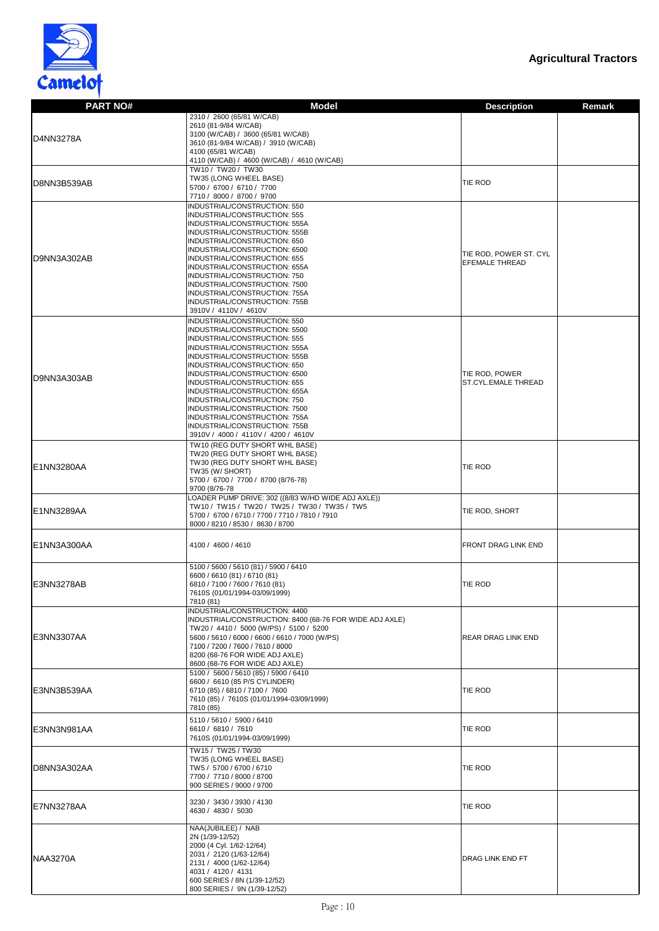

| <b>PART NO#</b> | <b>Model</b>                                                                                        |                                                 | <b>Remark</b> |
|-----------------|-----------------------------------------------------------------------------------------------------|-------------------------------------------------|---------------|
|                 | 2310 / 2600 (65/81 W/CAB)                                                                           | <b>Description</b>                              |               |
|                 | 2610 (81-9/84 W/CAB)                                                                                |                                                 |               |
|                 | 3100 (W/CAB) / 3600 (65/81 W/CAB)                                                                   |                                                 |               |
| D4NN3278A       | 3610 (81-9/84 W/CAB) / 3910 (W/CAB)                                                                 |                                                 |               |
|                 | 4100 (65/81 W/CAB)                                                                                  |                                                 |               |
|                 | 4110 (W/CAB) / 4600 (W/CAB) / 4610 (W/CAB)<br>TW10 / TW20 / TW30                                    |                                                 |               |
|                 | TW35 (LONG WHEEL BASE)                                                                              |                                                 |               |
| D8NN3B539AB     | 5700 / 6700 / 6710 / 7700                                                                           | TIE ROD                                         |               |
|                 | 7710 / 8000 / 8700 / 9700                                                                           |                                                 |               |
|                 | INDUSTRIAL/CONSTRUCTION: 550                                                                        |                                                 |               |
|                 | INDUSTRIAL/CONSTRUCTION: 555                                                                        |                                                 |               |
|                 | INDUSTRIAL/CONSTRUCTION: 555A                                                                       |                                                 |               |
|                 | INDUSTRIAL/CONSTRUCTION: 555B<br>INDUSTRIAL/CONSTRUCTION: 650                                       |                                                 |               |
|                 | INDUSTRIAL/CONSTRUCTION: 6500                                                                       |                                                 |               |
| D9NN3A302AB     | INDUSTRIAL/CONSTRUCTION: 655                                                                        | TIE ROD, POWER ST. CYL<br><b>EFEMALE THREAD</b> |               |
|                 | INDUSTRIAL/CONSTRUCTION: 655A                                                                       |                                                 |               |
|                 | INDUSTRIAL/CONSTRUCTION: 750                                                                        |                                                 |               |
|                 | INDUSTRIAL/CONSTRUCTION: 7500<br>INDUSTRIAL/CONSTRUCTION: 755A                                      |                                                 |               |
|                 | INDUSTRIAL/CONSTRUCTION: 755B                                                                       |                                                 |               |
|                 | 3910V / 4110V / 4610V                                                                               |                                                 |               |
|                 | INDUSTRIAL/CONSTRUCTION: 550                                                                        |                                                 |               |
|                 | INDUSTRIAL/CONSTRUCTION: 5500                                                                       |                                                 |               |
|                 | INDUSTRIAL/CONSTRUCTION: 555                                                                        |                                                 |               |
|                 | INDUSTRIAL/CONSTRUCTION: 555A                                                                       |                                                 |               |
|                 | INDUSTRIAL/CONSTRUCTION: 555B                                                                       |                                                 |               |
|                 | INDUSTRIAL/CONSTRUCTION: 650<br>INDUSTRIAL/CONSTRUCTION: 6500                                       | TIE ROD, POWER                                  |               |
| D9NN3A303AB     | INDUSTRIAL/CONSTRUCTION: 655                                                                        | <b>ST.CYL.EMALE THREAD</b>                      |               |
|                 | INDUSTRIAL/CONSTRUCTION: 655A                                                                       |                                                 |               |
|                 | INDUSTRIAL/CONSTRUCTION: 750                                                                        |                                                 |               |
|                 | INDUSTRIAL/CONSTRUCTION: 7500                                                                       |                                                 |               |
|                 | INDUSTRIAL/CONSTRUCTION: 755A                                                                       |                                                 |               |
|                 | INDUSTRIAL/CONSTRUCTION: 755B<br>3910V / 4000 / 4110V / 4200 / 4610V                                |                                                 |               |
|                 | TW10 (REG DUTY SHORT WHL BASE)                                                                      |                                                 |               |
|                 | TW20 (REG DUTY SHORT WHL BASE)                                                                      |                                                 |               |
|                 | TW30 (REG DUTY SHORT WHL BASE)                                                                      |                                                 |               |
| E1NN3280AA      | TW35 (W/ SHORT)                                                                                     | TIE ROD                                         |               |
|                 | 5700 / 6700 / 7700 / 8700 (8/76-78)                                                                 |                                                 |               |
|                 | 9700 (8/76-78                                                                                       |                                                 |               |
|                 | LOADER PUMP DRIVE: 302 ((8/83 W/HD WIDE ADJ AXLE))<br>TW10 / TW15 / TW20 / TW25 / TW30 / TW35 / TW5 |                                                 |               |
| E1NN3289AA      | 5700 / 6700 / 6710 / 7700 / 7710 / 7810 / 7910                                                      | TIE ROD, SHORT                                  |               |
|                 | 8000 / 8210 / 8530 / 8630 / 8700                                                                    |                                                 |               |
|                 |                                                                                                     |                                                 |               |
| E1NN3A300AA     | 4100 / 4600 / 4610                                                                                  | <b>FRONT DRAG LINK END</b>                      |               |
|                 |                                                                                                     |                                                 |               |
|                 | 5100 / 5600 / 5610 (81) / 5900 / 6410                                                               |                                                 |               |
|                 | 6600 / 6610 (81) / 6710 (81)                                                                        |                                                 |               |
| E3NN3278AB      | 6810 / 7100 / 7600 / 7610 (81)                                                                      | TIE ROD                                         |               |
|                 | 7610S (01/01/1994-03/09/1999)                                                                       |                                                 |               |
|                 | 7810 (81)                                                                                           |                                                 |               |
|                 | INDUSTRIAL/CONSTRUCTION: 4400<br>INDUSTRIAL/CONSTRUCTION: 8400 (68-76 FOR WIDE ADJ AXLE)            |                                                 |               |
|                 | TW20 / 4410 / 5000 (W/PS) / 5100 / 5200                                                             |                                                 |               |
| E3NN3307AA      | 5600 / 5610 / 6000 / 6600 / 6610 / 7000 (W/PS)                                                      | <b>REAR DRAG LINK END</b>                       |               |
|                 | 7100 / 7200 / 7600 / 7610 / 8000                                                                    |                                                 |               |
|                 | 8200 (68-76 FOR WIDE ADJ AXLE)                                                                      |                                                 |               |
|                 | 8600 (68-76 FOR WIDE ADJ AXLE)                                                                      |                                                 |               |
|                 | 5100 / 5600 / 5610 (85) / 5900 / 6410<br>6600 / 6610 (85 P/S CYLINDER)                              |                                                 |               |
| E3NN3B539AA     | 6710 (85) / 6810 / 7100 / 7600                                                                      | TIE ROD                                         |               |
|                 | 7610 (85) / 7610S (01/01/1994-03/09/1999)                                                           |                                                 |               |
|                 | 7810 (85)                                                                                           |                                                 |               |
|                 | 5110 / 5610 / 5900 / 6410                                                                           |                                                 |               |
| E3NN3N981AA     | 6610 / 6810 / 7610                                                                                  | TIE ROD                                         |               |
|                 | 7610S (01/01/1994-03/09/1999)                                                                       |                                                 |               |
|                 | TW15 / TW25 / TW30                                                                                  |                                                 |               |
|                 | TW35 (LONG WHEEL BASE)                                                                              |                                                 |               |
| D8NN3A302AA     | TW5 / 5700 / 6700 / 6710                                                                            | <b>TIE ROD</b>                                  |               |
|                 | 7700 / 7710 / 8000 / 8700                                                                           |                                                 |               |
|                 | 900 SERIES / 9000 / 9700                                                                            |                                                 |               |
|                 | 3230 / 3430 / 3930 / 4130                                                                           |                                                 |               |
| E7NN3278AA      | 4630 / 4830 / 5030                                                                                  | TIE ROD                                         |               |
|                 |                                                                                                     |                                                 |               |
|                 | NAA(JUBILEE) / NAB                                                                                  |                                                 |               |
|                 | 2N (1/39-12/52)                                                                                     |                                                 |               |
|                 | 2000 (4 Cyl. 1/62-12/64)<br>2031 / 2120 (1/63-12/64)                                                |                                                 |               |
| <b>NAA3270A</b> | 2131 / 4000 (1/62-12/64)                                                                            | <b>DRAG LINK END FT</b>                         |               |
|                 | 4031 / 4120 / 4131                                                                                  |                                                 |               |
|                 | 600 SERIES / 8N (1/39-12/52)                                                                        |                                                 |               |
|                 | 800 SERIES / 9N (1/39-12/52)                                                                        |                                                 |               |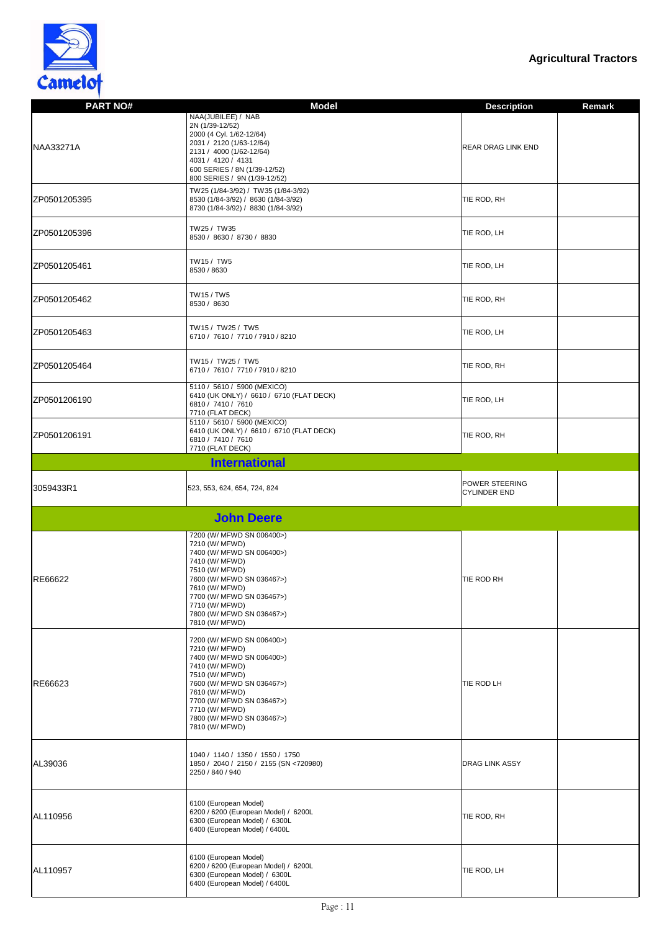

| <b>PART NO#</b> | <b>Model</b>                                                                                                                                                                                                                                              | <b>Description</b>                           | <b>Remark</b> |
|-----------------|-----------------------------------------------------------------------------------------------------------------------------------------------------------------------------------------------------------------------------------------------------------|----------------------------------------------|---------------|
| NAA33271A       | NAA(JUBILEE) / NAB<br>2N (1/39-12/52)<br>2000 (4 Cyl. 1/62-12/64)<br>2031 / 2120 (1/63-12/64)<br>2131 / 4000 (1/62-12/64)<br>4031 / 4120 / 4131<br>600 SERIES / 8N (1/39-12/52)<br>800 SERIES / 9N (1/39-12/52)                                           | <b>REAR DRAG LINK END</b>                    |               |
| ZP0501205395    | TW25 (1/84-3/92) / TW35 (1/84-3/92)<br>8530 (1/84-3/92) / 8630 (1/84-3/92)<br>8730 (1/84-3/92) / 8830 (1/84-3/92)                                                                                                                                         | TIE ROD, RH                                  |               |
| ZP0501205396    | TW25 / TW35<br>8530 / 8630 / 8730 / 8830                                                                                                                                                                                                                  | TIE ROD, LH                                  |               |
| ZP0501205461    | TW15 / TW5<br>8530 / 8630                                                                                                                                                                                                                                 | TIE ROD, LH                                  |               |
| ZP0501205462    | TW15 / TW5<br>8530 / 8630                                                                                                                                                                                                                                 | TIE ROD, RH                                  |               |
| ZP0501205463    | TW15 / TW25 / TW5<br>6710 / 7610 / 7710 / 7910 / 8210                                                                                                                                                                                                     | TIE ROD, LH                                  |               |
| ZP0501205464    | TW15 / TW25 / TW5<br>6710 / 7610 / 7710 / 7910 / 8210                                                                                                                                                                                                     | TIE ROD, RH                                  |               |
| ZP0501206190    | 5110 / 5610 / 5900 (MEXICO)<br>6410 (UK ONLY) / 6610 / 6710 (FLAT DECK)<br>6810 / 7410 / 7610<br>7710 (FLAT DECK)                                                                                                                                         | TIE ROD, LH                                  |               |
| ZP0501206191    | 5110 / 5610 / 5900 (MEXICO)<br>6410 (UK ONLY) / 6610 / 6710 (FLAT DECK)<br>6810 / 7410 / 7610<br>7710 (FLAT DECK)                                                                                                                                         | TIE ROD, RH                                  |               |
|                 | <b>International</b>                                                                                                                                                                                                                                      |                                              |               |
| 3059433R1       | 523, 553, 624, 654, 724, 824                                                                                                                                                                                                                              | <b>POWER STEERING</b><br><b>CYLINDER END</b> |               |
|                 |                                                                                                                                                                                                                                                           |                                              |               |
|                 | <b>John Deere</b>                                                                                                                                                                                                                                         |                                              |               |
| RE66622         | 7200 (W/ MFWD SN 006400>)<br>7210 (W/ MFWD)<br>7400 (W/ MFWD SN 006400>)<br>7410 (W/ MFWD)<br>7510 (W/ MFWD)<br>7600 (W/ MFWD SN 036467>)<br>7610 (W/ MFWD)<br>7700 (W/ MFWD SN 036467>)<br>7710 (W/ MFWD)<br>7800 (W/ MFWD SN 036467>)<br>7810 (W/ MFWD) | TIE ROD RH                                   |               |
| RE66623         | 7200 (W/ MFWD SN 006400>)<br>7210 (W/ MFWD)<br>7400 (W/ MFWD SN 006400>)<br>7410 (W/ MFWD)<br>7510 (W/ MFWD)<br>7600 (W/ MFWD SN 036467>)<br>7610 (W/ MFWD)<br>7700 (W/ MFWD SN 036467>)<br>7710 (W/ MFWD)<br>7800 (W/ MFWD SN 036467>)<br>7810 (W/ MFWD) | TIE ROD LH                                   |               |
| AL39036         | 1040 / 1140 / 1350 / 1550 / 1750<br>1850 / 2040 / 2150 / 2155 (SN <720980)<br>2250 / 840 / 940                                                                                                                                                            | <b>DRAG LINK ASSY</b>                        |               |
| AL110956        | 6100 (European Model)<br>6200 / 6200 (European Model) / 6200L<br>6300 (European Model) / 6300L<br>6400 (European Model) / 6400L                                                                                                                           | TIE ROD, RH                                  |               |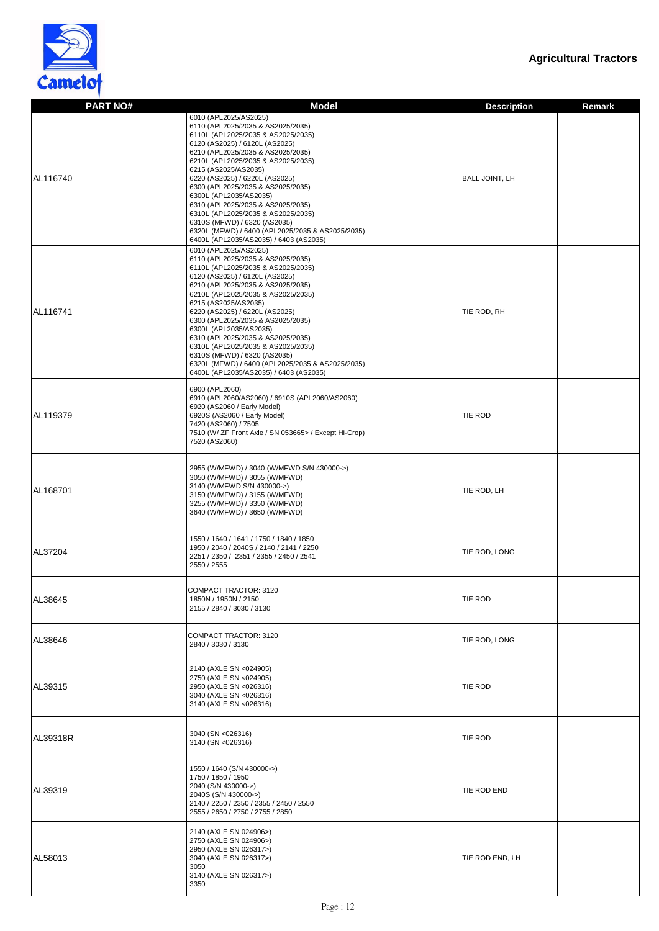

| <b>PART NO#</b> | <b>Model</b>                                                                                                                                                                                                                                                                                                                                                                                                                                                                                                                                    | <b>Description</b><br><b>Remark</b> |
|-----------------|-------------------------------------------------------------------------------------------------------------------------------------------------------------------------------------------------------------------------------------------------------------------------------------------------------------------------------------------------------------------------------------------------------------------------------------------------------------------------------------------------------------------------------------------------|-------------------------------------|
| AL116740        | 6010 (APL2025/AS2025)<br>6110 (APL2025/2035 & AS2025/2035)<br>6110L (APL2025/2035 & AS2025/2035)<br>6120 (AS2025) / 6120L (AS2025)<br>6210 (APL2025/2035 & AS2025/2035)<br>6210L (APL2025/2035 & AS2025/2035)<br>6215 (AS2025/AS2035)<br>6220 (AS2025) / 6220L (AS2025)<br>6300 (APL2025/2035 & AS2025/2035)<br>6300L (APL2035/AS2035)<br>6310 (APL2025/2035 & AS2025/2035)<br>6310L (APL2025/2035 & AS2025/2035)<br>6310S (MFWD) / 6320 (AS2035)<br>6320L (MFWD) / 6400 (APL2025/2035 & AS2025/2035)<br>6400L (APL2035/AS2035) / 6403 (AS2035) | <b>BALL JOINT, LH</b>               |
| AL116741        | 6010 (APL2025/AS2025)<br>6110 (APL2025/2035 & AS2025/2035)<br>6110L (APL2025/2035 & AS2025/2035)<br>6120 (AS2025) / 6120L (AS2025)<br>6210 (APL2025/2035 & AS2025/2035)<br>6210L (APL2025/2035 & AS2025/2035)<br>6215 (AS2025/AS2035)<br>6220 (AS2025) / 6220L (AS2025)<br>6300 (APL2025/2035 & AS2025/2035)<br>6300L (APL2035/AS2035)<br>6310 (APL2025/2035 & AS2025/2035)<br>6310L (APL2025/2035 & AS2025/2035)<br>6310S (MFWD) / 6320 (AS2035)<br>6320L (MFWD) / 6400 (APL2025/2035 & AS2025/2035)<br>6400L (APL2035/AS2035) / 6403 (AS2035) | TIE ROD, RH                         |
| AL119379        | 6900 (APL2060)<br>6910 (APL2060/AS2060) / 6910S (APL2060/AS2060)<br>6920 (AS2060 / Early Model)<br>6920S (AS2060 / Early Model)<br>7420 (AS2060) / 7505<br>7510 (W/ ZF Front Axle / SN 053665> / Except Hi-Crop)<br>7520 (AS2060)                                                                                                                                                                                                                                                                                                               | <b>TIE ROD</b>                      |
| AL168701        | 2955 (W/MFWD) / 3040 (W/MFWD S/N 430000->)<br>3050 (W/MFWD) / 3055 (W/MFWD)<br>3140 (W/MFWD S/N 430000->)<br>3150 (W/MFWD) / 3155 (W/MFWD)<br>3255 (W/MFWD) / 3350 (W/MFWD)<br>3640 (W/MFWD) / 3650 (W/MFWD)                                                                                                                                                                                                                                                                                                                                    | TIE ROD, LH                         |
| AL37204         | 1550 / 1640 / 1641 / 1750 / 1840 / 1850<br>1950 / 2040 / 2040S / 2140 / 2141 / 2250<br>2251 / 2350 / 2351 / 2355 / 2450 / 2541<br>2550 / 2555                                                                                                                                                                                                                                                                                                                                                                                                   | TIE ROD, LONG                       |
| AL38645         | <b>COMPACT TRACTOR: 3120</b><br>1850N / 1950N / 2150<br>2155 / 2840 / 3030 / 3130                                                                                                                                                                                                                                                                                                                                                                                                                                                               | <b>TIE ROD</b>                      |
| AL38646         | <b>COMPACT TRACTOR: 3120</b><br>2840 / 3030 / 3130                                                                                                                                                                                                                                                                                                                                                                                                                                                                                              | TIE ROD, LONG                       |
| AL39315         | 2140 (AXLE SN <024905)<br>2750 (AXLE SN <024905)<br>2950 (AXLE SN <026316)<br>3040 (AXLE SN <026316)<br>3140 (AXLE SN <026316)                                                                                                                                                                                                                                                                                                                                                                                                                  | <b>TIE ROD</b>                      |
| <b>AL39318R</b> | 3040 (SN <026316)<br>3140 (SN < 026316)                                                                                                                                                                                                                                                                                                                                                                                                                                                                                                         | <b>TIE ROD</b>                      |
| AL39319         | 1550 / 1640 (S/N 430000->)<br>1750 / 1850 / 1950<br>2040 (S/N 430000->)<br>2040S (S/N 430000->)<br>2140 / 2250 / 2350 / 2355 / 2450 / 2550<br>2555 / 2650 / 2750 / 2755 / 2850                                                                                                                                                                                                                                                                                                                                                                  | TIE ROD END                         |
| AL58013         | 2140 (AXLE SN 024906>)<br>2750 (AXLE SN 024906>)<br>2950 (AXLE SN 026317>)<br>3040 (AXLE SN 026317>)<br>3050<br>3140 (AXLE SN 026317>)<br>3350                                                                                                                                                                                                                                                                                                                                                                                                  | TIE ROD END, LH                     |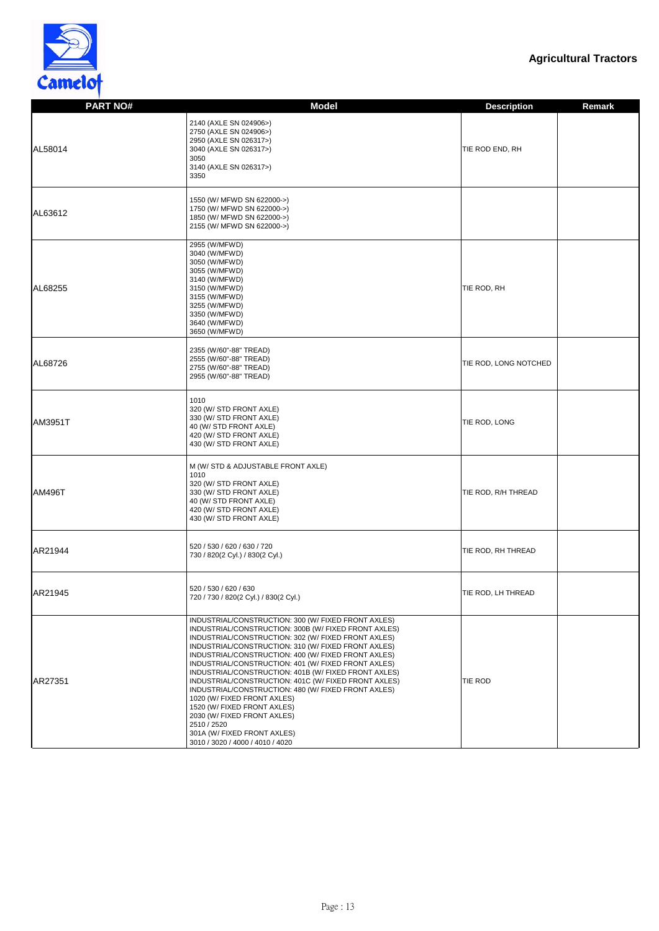

| <b>PART NO#</b> | <b>Model</b>                                                                                                                                                                                                                                                                                                                                                                                                                                                                                                                                  | <b>Description</b>    | <b>Remark</b> |
|-----------------|-----------------------------------------------------------------------------------------------------------------------------------------------------------------------------------------------------------------------------------------------------------------------------------------------------------------------------------------------------------------------------------------------------------------------------------------------------------------------------------------------------------------------------------------------|-----------------------|---------------|
|                 |                                                                                                                                                                                                                                                                                                                                                                                                                                                                                                                                               |                       |               |
| AL58014         | 2140 (AXLE SN 024906>)<br>2750 (AXLE SN 024906>)<br>2950 (AXLE SN 026317>)<br>3040 (AXLE SN 026317>)<br>3050<br>3140 (AXLE SN 026317>)<br>3350                                                                                                                                                                                                                                                                                                                                                                                                | TIE ROD END, RH       |               |
| AL63612         | 1550 (W/ MFWD SN 622000->)<br>1750 (W/ MFWD SN 622000->)<br>1850 (W/ MFWD SN 622000->)<br>2155 (W/ MFWD SN 622000->)                                                                                                                                                                                                                                                                                                                                                                                                                          |                       |               |
| AL68255         | 2955 (W/MFWD)<br>3040 (W/MFWD)<br>3050 (W/MFWD)<br>3055 (W/MFWD)<br>3140 (W/MFWD)<br>3150 (W/MFWD)<br>3155 (W/MFWD)<br>3255 (W/MFWD)<br>3350 (W/MFWD)<br>3640 (W/MFWD)<br>3650 (W/MFWD)                                                                                                                                                                                                                                                                                                                                                       | TIE ROD, RH           |               |
| AL68726         | 2355 (W/60"-88" TREAD)<br>2555 (W/60"-88" TREAD)<br>2755 (W/60"-88" TREAD)<br>2955 (W/60"-88" TREAD)                                                                                                                                                                                                                                                                                                                                                                                                                                          | TIE ROD, LONG NOTCHED |               |
| <b>AM3951T</b>  | 1010<br>320 (W/ STD FRONT AXLE)<br>330 (W/ STD FRONT AXLE)<br>40 (W/ STD FRONT AXLE)<br>420 (W/ STD FRONT AXLE)<br>430 (W/ STD FRONT AXLE)                                                                                                                                                                                                                                                                                                                                                                                                    | TIE ROD, LONG         |               |
| <b>AM496T</b>   | M (W/ STD & ADJUSTABLE FRONT AXLE)<br>1010<br>320 (W/ STD FRONT AXLE)<br>330 (W/ STD FRONT AXLE)<br>40 (W/ STD FRONT AXLE)<br>420 (W/ STD FRONT AXLE)<br>430 (W/ STD FRONT AXLE)                                                                                                                                                                                                                                                                                                                                                              | TIE ROD, R/H THREAD   |               |
| AR21944         | 520 / 530 / 620 / 630 / 720<br>730 / 820(2 Cyl.) / 830(2 Cyl.)                                                                                                                                                                                                                                                                                                                                                                                                                                                                                | TIE ROD, RH THREAD    |               |
| AR21945         | 520 / 530 / 620 / 630<br>720 / 730 / 820(2 Cyl.) / 830(2 Cyl.)                                                                                                                                                                                                                                                                                                                                                                                                                                                                                | TIE ROD, LH THREAD    |               |
| AR27351         | INDUSTRIAL/CONSTRUCTION: 300 (W/ FIXED FRONT AXLES)<br>INDUSTRIAL/CONSTRUCTION: 300B (W/ FIXED FRONT AXLES)<br>INDUSTRIAL/CONSTRUCTION: 302 (W/ FIXED FRONT AXLES)<br>INDUSTRIAL/CONSTRUCTION: 310 (W/ FIXED FRONT AXLES)<br>INDUSTRIAL/CONSTRUCTION: 400 (W/ FIXED FRONT AXLES)<br>INDUSTRIAL/CONSTRUCTION: 401 (W/ FIXED FRONT AXLES)<br>INDUSTRIAL/CONSTRUCTION: 401B (W/ FIXED FRONT AXLES)<br>INDUSTRIAL/CONSTRUCTION: 401C (W/ FIXED FRONT AXLES)<br>INDUSTRIAL/CONSTRUCTION: 480 (W/ FIXED FRONT AXLES)<br>1020 (W/ FIXED FRONT AXLES) | <b>TIE ROD</b>        |               |

| 1520 (W/ FIXED FRONT AXLES)      |  |
|----------------------------------|--|
| 2030 (W/ FIXED FRONT AXLES)      |  |
| 2510 / 2520                      |  |
| 301A (W/ FIXED FRONT AXLES)      |  |
| 3010 / 3020 / 4000 / 4010 / 4020 |  |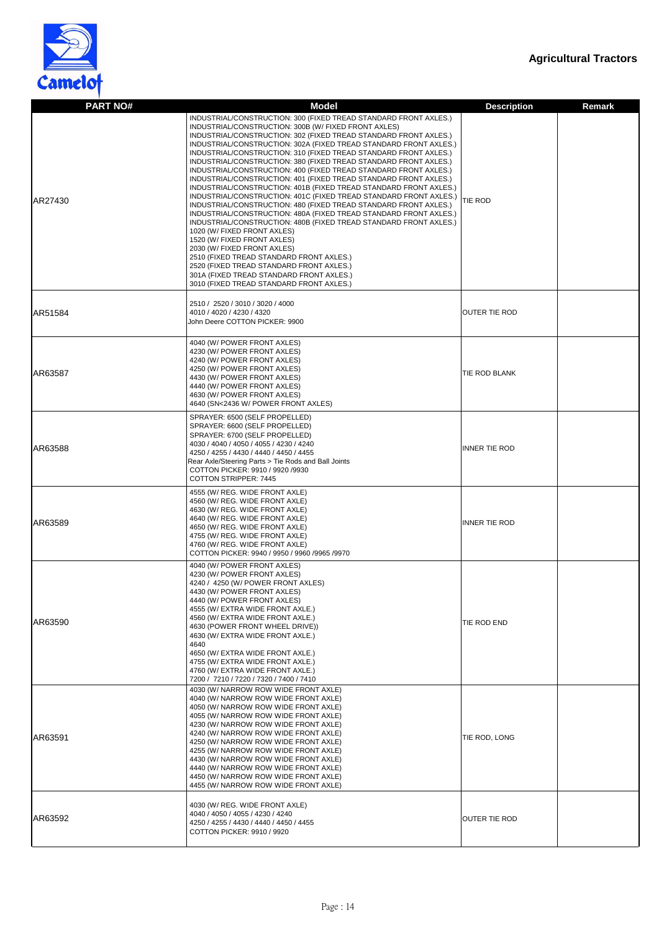

| <b>PART NO#</b> | <b>Model</b>                                                                                                                                                                                                                                                                                                                                                                                                                                                                                                                                                                                                                                                                                                                                                                                                                                                                                                                                                                                                                                                                                                                                                                           | <b>Description</b>   | <b>Remark</b> |
|-----------------|----------------------------------------------------------------------------------------------------------------------------------------------------------------------------------------------------------------------------------------------------------------------------------------------------------------------------------------------------------------------------------------------------------------------------------------------------------------------------------------------------------------------------------------------------------------------------------------------------------------------------------------------------------------------------------------------------------------------------------------------------------------------------------------------------------------------------------------------------------------------------------------------------------------------------------------------------------------------------------------------------------------------------------------------------------------------------------------------------------------------------------------------------------------------------------------|----------------------|---------------|
| AR27430         | INDUSTRIAL/CONSTRUCTION: 300 (FIXED TREAD STANDARD FRONT AXLES.)<br>INDUSTRIAL/CONSTRUCTION: 300B (W/ FIXED FRONT AXLES)<br>INDUSTRIAL/CONSTRUCTION: 302 (FIXED TREAD STANDARD FRONT AXLES.)<br>INDUSTRIAL/CONSTRUCTION: 302A (FIXED TREAD STANDARD FRONT AXLES.)<br>INDUSTRIAL/CONSTRUCTION: 310 (FIXED TREAD STANDARD FRONT AXLES.)<br>INDUSTRIAL/CONSTRUCTION: 380 (FIXED TREAD STANDARD FRONT AXLES.)<br>INDUSTRIAL/CONSTRUCTION: 400 (FIXED TREAD STANDARD FRONT AXLES.)<br>INDUSTRIAL/CONSTRUCTION: 401 (FIXED TREAD STANDARD FRONT AXLES.)<br>INDUSTRIAL/CONSTRUCTION: 401B (FIXED TREAD STANDARD FRONT AXLES.)<br>INDUSTRIAL/CONSTRUCTION: 401C (FIXED TREAD STANDARD FRONT AXLES.)<br>INDUSTRIAL/CONSTRUCTION: 480 (FIXED TREAD STANDARD FRONT AXLES.)<br>INDUSTRIAL/CONSTRUCTION: 480A (FIXED TREAD STANDARD FRONT AXLES.)<br>INDUSTRIAL/CONSTRUCTION: 480B (FIXED TREAD STANDARD FRONT AXLES.)<br>1020 (W/ FIXED FRONT AXLES)<br>1520 (W/ FIXED FRONT AXLES)<br>2030 (W/ FIXED FRONT AXLES)<br>2510 (FIXED TREAD STANDARD FRONT AXLES.)<br>2520 (FIXED TREAD STANDARD FRONT AXLES.)<br>301A (FIXED TREAD STANDARD FRONT AXLES.)<br>3010 (FIXED TREAD STANDARD FRONT AXLES.) | <b>TIE ROD</b>       |               |
| AR51584         | 2510 / 2520 / 3010 / 3020 / 4000<br>4010 / 4020 / 4230 / 4320<br>John Deere COTTON PICKER: 9900                                                                                                                                                                                                                                                                                                                                                                                                                                                                                                                                                                                                                                                                                                                                                                                                                                                                                                                                                                                                                                                                                        | <b>OUTER TIE ROD</b> |               |
| AR63587         | 4040 (W/ POWER FRONT AXLES)<br>4230 (W/ POWER FRONT AXLES)<br>4240 (W/ POWER FRONT AXLES)<br>4250 (W/ POWER FRONT AXLES)<br>4430 (W/ POWER FRONT AXLES)<br>4440 (W/ POWER FRONT AXLES)<br>4630 (W/ POWER FRONT AXLES)<br>4640 (SN<2436 W/ POWER FRONT AXLES)                                                                                                                                                                                                                                                                                                                                                                                                                                                                                                                                                                                                                                                                                                                                                                                                                                                                                                                           | <b>TIE ROD BLANK</b> |               |
| AR63588         | SPRAYER: 6500 (SELF PROPELLED)<br>SPRAYER: 6600 (SELF PROPELLED)<br>SPRAYER: 6700 (SELF PROPELLED)<br>4030 / 4040 / 4050 / 4055 / 4230 / 4240<br>4250 / 4255 / 4430 / 4440 / 4450 / 4455<br>Rear Axle/Steering Parts > Tie Rods and Ball Joints<br>COTTON PICKER: 9910 / 9920 /9930<br><b>COTTON STRIPPER: 7445</b>                                                                                                                                                                                                                                                                                                                                                                                                                                                                                                                                                                                                                                                                                                                                                                                                                                                                    | <b>INNER TIE ROD</b> |               |
| AR63589         | 4555 (W/ REG. WIDE FRONT AXLE)<br>4560 (W/ REG. WIDE FRONT AXLE)<br>4630 (W/ REG. WIDE FRONT AXLE)<br>4640 (W/ REG. WIDE FRONT AXLE)<br>4650 (W/ REG. WIDE FRONT AXLE)<br>4755 (W/ REG. WIDE FRONT AXLE)<br>4760 (W/ REG. WIDE FRONT AXLE)<br>COTTON PICKER: 9940 / 9950 / 9960 /9965 /9970                                                                                                                                                                                                                                                                                                                                                                                                                                                                                                                                                                                                                                                                                                                                                                                                                                                                                            | <b>INNER TIE ROD</b> |               |
| AR63590         | 4040 (W/ POWER FRONT AXLES)<br>4230 (W/ POWER FRONT AXLES)<br>4240 / 4250 (W/ POWER FRONT AXLES)<br>4430 (W/ POWER FRONT AXLES)<br>4440 (W/ POWER FRONT AXLES)<br>4555 (W/ EXTRA WIDE FRONT AXLE.)<br>4560 (W/ EXTRA WIDE FRONT AXLE.)<br>4630 (POWER FRONT WHEEL DRIVE))<br>4630 (W/ EXTRA WIDE FRONT AXLE.)<br>4640<br>4650 (W/ EXTRA WIDE FRONT AXLE.)<br>4755 (W/ EXTRA WIDE FRONT AXLE.)<br>4760 (W/ EXTRA WIDE FRONT AXLE.)<br>7200 / 7210 / 7220 / 7320 / 7400 / 7410                                                                                                                                                                                                                                                                                                                                                                                                                                                                                                                                                                                                                                                                                                           | TIE ROD END          |               |
| AR63591         | 4030 (W/ NARROW ROW WIDE FRONT AXLE)<br>4040 (W/ NARROW ROW WIDE FRONT AXLE)<br>4050 (W/ NARROW ROW WIDE FRONT AXLE)<br>4055 (W/ NARROW ROW WIDE FRONT AXLE)<br>4230 (W/ NARROW ROW WIDE FRONT AXLE)<br>4240 (W/ NARROW ROW WIDE FRONT AXLE)<br>4250 (W/ NARROW ROW WIDE FRONT AXLE)<br>4255 (W/ NARROW ROW WIDE FRONT AXLE)<br>4430 (W/ NARROW ROW WIDE FRONT AXLE)<br>4440 (W/ NARROW ROW WIDE FRONT AXLE)<br>4450 (W/ NARROW ROW WIDE FRONT AXLE)<br>4455 (W/ NARROW ROW WIDE FRONT AXLE)                                                                                                                                                                                                                                                                                                                                                                                                                                                                                                                                                                                                                                                                                           | TIE ROD, LONG        |               |
| AR63592         | 4030 (W/ REG. WIDE FRONT AXLE)<br>4040 / 4050 / 4055 / 4230 / 4240<br>4250 / 4255 / 4430 / 4440 / 4450 / 4455<br>COTTON PICKER: 9910 / 9920                                                                                                                                                                                                                                                                                                                                                                                                                                                                                                                                                                                                                                                                                                                                                                                                                                                                                                                                                                                                                                            | <b>OUTER TIE ROD</b> |               |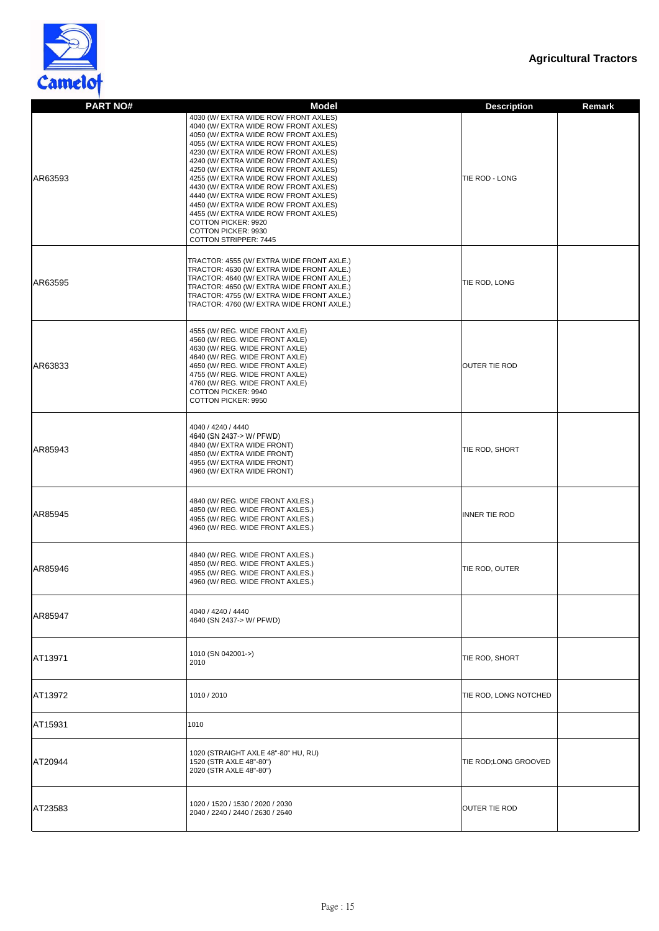



| <b>PART NO#</b> | <b>Model</b>                                                                                                                                                                                                                                                                                                                                                                                                                                                                                                                                                                             | <b>Description</b><br><b>Remark</b> |
|-----------------|------------------------------------------------------------------------------------------------------------------------------------------------------------------------------------------------------------------------------------------------------------------------------------------------------------------------------------------------------------------------------------------------------------------------------------------------------------------------------------------------------------------------------------------------------------------------------------------|-------------------------------------|
| AR63593         | 4030 (W/ EXTRA WIDE ROW FRONT AXLES)<br>4040 (W/ EXTRA WIDE ROW FRONT AXLES)<br>4050 (W/ EXTRA WIDE ROW FRONT AXLES)<br>4055 (W/ EXTRA WIDE ROW FRONT AXLES)<br>4230 (W/ EXTRA WIDE ROW FRONT AXLES)<br>4240 (W/ EXTRA WIDE ROW FRONT AXLES)<br>4250 (W/ EXTRA WIDE ROW FRONT AXLES)<br>4255 (W/ EXTRA WIDE ROW FRONT AXLES)<br>4430 (W/ EXTRA WIDE ROW FRONT AXLES)<br>4440 (W/ EXTRA WIDE ROW FRONT AXLES)<br>4450 (W/ EXTRA WIDE ROW FRONT AXLES)<br>4455 (W/ EXTRA WIDE ROW FRONT AXLES)<br><b>COTTON PICKER: 9920</b><br><b>COTTON PICKER: 9930</b><br><b>COTTON STRIPPER: 7445</b> | TIE ROD - LONG                      |
| AR63595         | TRACTOR: 4555 (W/ EXTRA WIDE FRONT AXLE.)<br>TRACTOR: 4630 (W/ EXTRA WIDE FRONT AXLE.)<br>TRACTOR: 4640 (W/ EXTRA WIDE FRONT AXLE.)<br>TRACTOR: 4650 (W/ EXTRA WIDE FRONT AXLE.)<br>TRACTOR: 4755 (W/ EXTRA WIDE FRONT AXLE.)<br>TRACTOR: 4760 (W/ EXTRA WIDE FRONT AXLE.)                                                                                                                                                                                                                                                                                                               | TIE ROD, LONG                       |
| AR63833         | 4555 (W/ REG. WIDE FRONT AXLE)<br>4560 (W/ REG. WIDE FRONT AXLE)<br>4630 (W/ REG. WIDE FRONT AXLE)<br>4640 (W/ REG. WIDE FRONT AXLE)<br>4650 (W/ REG. WIDE FRONT AXLE)<br>4755 (W/ REG. WIDE FRONT AXLE)<br>4760 (W/ REG. WIDE FRONT AXLE)<br><b>COTTON PICKER: 9940</b><br><b>COTTON PICKER: 9950</b>                                                                                                                                                                                                                                                                                   | <b>OUTER TIE ROD</b>                |
| AR85943         | 4040 / 4240 / 4440<br>4640 (SN 2437-> W/ PFWD)<br>4840 (W/ EXTRA WIDE FRONT)<br>4850 (W/ EXTRA WIDE FRONT)<br>4955 (W/ EXTRA WIDE FRONT)<br>4960 (W/ EXTRA WIDE FRONT)                                                                                                                                                                                                                                                                                                                                                                                                                   | TIE ROD, SHORT                      |
| AR85945         | 4840 (W/ REG. WIDE FRONT AXLES.)<br>4850 (W/ REG. WIDE FRONT AXLES.)<br>4955 (W/ REG. WIDE FRONT AXLES.)<br>4960 (W/ REG. WIDE FRONT AXLES.)                                                                                                                                                                                                                                                                                                                                                                                                                                             | INNER TIE ROD                       |
| AR85946         | 4840 (W/ REG. WIDE FRONT AXLES.)<br>4850 (W/ REG. WIDE FRONT AXLES.)<br>4955 (W/ REG. WIDE FRONT AXLES.)<br>4960 (W/ REG. WIDE FRONT AXLES.)                                                                                                                                                                                                                                                                                                                                                                                                                                             | TIE ROD, OUTER                      |
| AR85947         | 4040 / 4240 / 4440<br>4640 (SN 2437-> W/ PFWD)                                                                                                                                                                                                                                                                                                                                                                                                                                                                                                                                           |                                     |
| AT13971         | 1010 (SN 042001->)<br>2010                                                                                                                                                                                                                                                                                                                                                                                                                                                                                                                                                               | TIE ROD, SHORT                      |
| AT13972         | 1010 / 2010                                                                                                                                                                                                                                                                                                                                                                                                                                                                                                                                                                              | TIE ROD, LONG NOTCHED               |
| AT15931         | 1010                                                                                                                                                                                                                                                                                                                                                                                                                                                                                                                                                                                     |                                     |
| AT20944         | 1020 (STRAIGHT AXLE 48"-80" HU, RU)<br>1520 (STR AXLE 48"-80")<br>2020 (STR AXLE 48"-80")                                                                                                                                                                                                                                                                                                                                                                                                                                                                                                | TIE ROD;LONG GROOVED                |
| AT23583         | 1020 / 1520 / 1530 / 2020 / 2030<br>2040 / 2240 / 2440 / 2630 / 2640                                                                                                                                                                                                                                                                                                                                                                                                                                                                                                                     | <b>OUTER TIE ROD</b>                |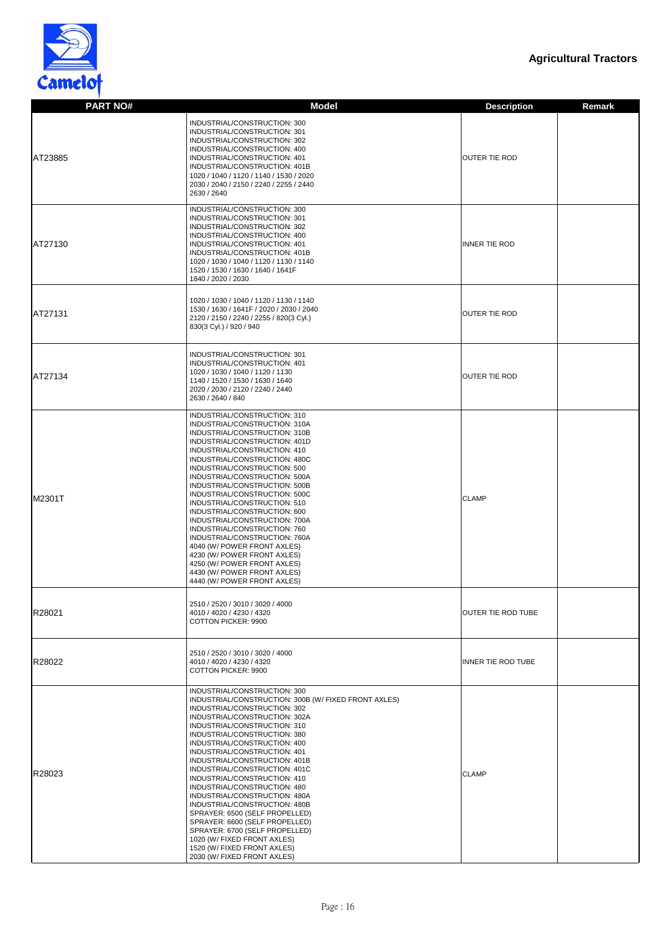

| <b>PART NO#</b> | <b>Model</b>                                                                                                                                                                                                                                                                                                                                                                                                                                                                                                                                                                                                                                                                                 | <b>Description</b>        | <b>Remark</b> |
|-----------------|----------------------------------------------------------------------------------------------------------------------------------------------------------------------------------------------------------------------------------------------------------------------------------------------------------------------------------------------------------------------------------------------------------------------------------------------------------------------------------------------------------------------------------------------------------------------------------------------------------------------------------------------------------------------------------------------|---------------------------|---------------|
| AT23885         | INDUSTRIAL/CONSTRUCTION: 300<br>INDUSTRIAL/CONSTRUCTION: 301<br>INDUSTRIAL/CONSTRUCTION: 302<br>INDUSTRIAL/CONSTRUCTION: 400<br>INDUSTRIAL/CONSTRUCTION: 401<br>INDUSTRIAL/CONSTRUCTION: 401B<br>1020 / 1040 / 1120 / 1140 / 1530 / 2020<br>2030 / 2040 / 2150 / 2240 / 2255 / 2440<br>2630 / 2640                                                                                                                                                                                                                                                                                                                                                                                           | <b>OUTER TIE ROD</b>      |               |
| AT27130         | INDUSTRIAL/CONSTRUCTION: 300<br>INDUSTRIAL/CONSTRUCTION: 301<br>INDUSTRIAL/CONSTRUCTION: 302<br>INDUSTRIAL/CONSTRUCTION: 400<br>INDUSTRIAL/CONSTRUCTION: 401<br>INDUSTRIAL/CONSTRUCTION: 401B<br>1020 / 1030 / 1040 / 1120 / 1130 / 1140<br>1520 / 1530 / 1630 / 1640 / 1641F<br>1840 / 2020 / 2030                                                                                                                                                                                                                                                                                                                                                                                          | <b>INNER TIE ROD</b>      |               |
| AT27131         | 1020 / 1030 / 1040 / 1120 / 1130 / 1140<br>1530 / 1630 / 1641F / 2020 / 2030 / 2040<br>2120 / 2150 / 2240 / 2255 / 820(3 Cyl.)<br>830(3 Cyl.) / 920 / 940                                                                                                                                                                                                                                                                                                                                                                                                                                                                                                                                    | <b>OUTER TIE ROD</b>      |               |
| AT27134         | INDUSTRIAL/CONSTRUCTION: 301<br>INDUSTRIAL/CONSTRUCTION: 401<br>1020 / 1030 / 1040 / 1120 / 1130<br>1140 / 1520 / 1530 / 1630 / 1640<br>2020 / 2030 / 2120 / 2240 / 2440<br>2630 / 2640 / 840                                                                                                                                                                                                                                                                                                                                                                                                                                                                                                | OUTER TIE ROD             |               |
| M2301T          | INDUSTRIAL/CONSTRUCTION: 310<br>INDUSTRIAL/CONSTRUCTION: 310A<br>INDUSTRIAL/CONSTRUCTION: 310B<br>INDUSTRIAL/CONSTRUCTION: 401D<br>INDUSTRIAL/CONSTRUCTION: 410<br>INDUSTRIAL/CONSTRUCTION: 480C<br>INDUSTRIAL/CONSTRUCTION: 500<br>INDUSTRIAL/CONSTRUCTION: 500A<br>INDUSTRIAL/CONSTRUCTION: 500B<br>INDUSTRIAL/CONSTRUCTION: 500C<br>INDUSTRIAL/CONSTRUCTION: 510<br>INDUSTRIAL/CONSTRUCTION: 600<br>INDUSTRIAL/CONSTRUCTION: 700A<br>INDUSTRIAL/CONSTRUCTION: 760<br>INDUSTRIAL/CONSTRUCTION: 760A<br>4040 (W/ POWER FRONT AXLES)<br>4230 (W/ POWER FRONT AXLES)<br>4250 (W/ POWER FRONT AXLES)<br>4430 (W/ POWER FRONT AXLES)<br>4440 (W/ POWER FRONT AXLES)                             | <b>CLAMP</b>              |               |
| R28021          | 2510 / 2520 / 3010 / 3020 / 4000<br>4010 / 4020 / 4230 / 4320<br><b>COTTON PICKER: 9900</b>                                                                                                                                                                                                                                                                                                                                                                                                                                                                                                                                                                                                  | <b>OUTER TIE ROD TUBE</b> |               |
| R28022          | 2510 / 2520 / 3010 / 3020 / 4000<br>4010 / 4020 / 4230 / 4320<br><b>COTTON PICKER: 9900</b>                                                                                                                                                                                                                                                                                                                                                                                                                                                                                                                                                                                                  | INNER TIE ROD TUBE        |               |
| R28023          | INDUSTRIAL/CONSTRUCTION: 300<br>INDUSTRIAL/CONSTRUCTION: 300B (W/ FIXED FRONT AXLES)<br>INDUSTRIAL/CONSTRUCTION: 302<br>INDUSTRIAL/CONSTRUCTION: 302A<br>INDUSTRIAL/CONSTRUCTION: 310<br>INDUSTRIAL/CONSTRUCTION: 380<br>INDUSTRIAL/CONSTRUCTION: 400<br>INDUSTRIAL/CONSTRUCTION: 401<br>INDUSTRIAL/CONSTRUCTION: 401B<br>INDUSTRIAL/CONSTRUCTION: 401C<br>INDUSTRIAL/CONSTRUCTION: 410<br>INDUSTRIAL/CONSTRUCTION: 480<br>INDUSTRIAL/CONSTRUCTION: 480A<br>INDUSTRIAL/CONSTRUCTION: 480B<br>SPRAYER: 6500 (SELF PROPELLED)<br>SPRAYER: 6600 (SELF PROPELLED)<br>SPRAYER: 6700 (SELF PROPELLED)<br>1020 (W/ FIXED FRONT AXLES)<br>1520 (W/ FIXED FRONT AXLES)<br>2030 (W/ FIXED FRONT AXLES) | <b>CLAMP</b>              |               |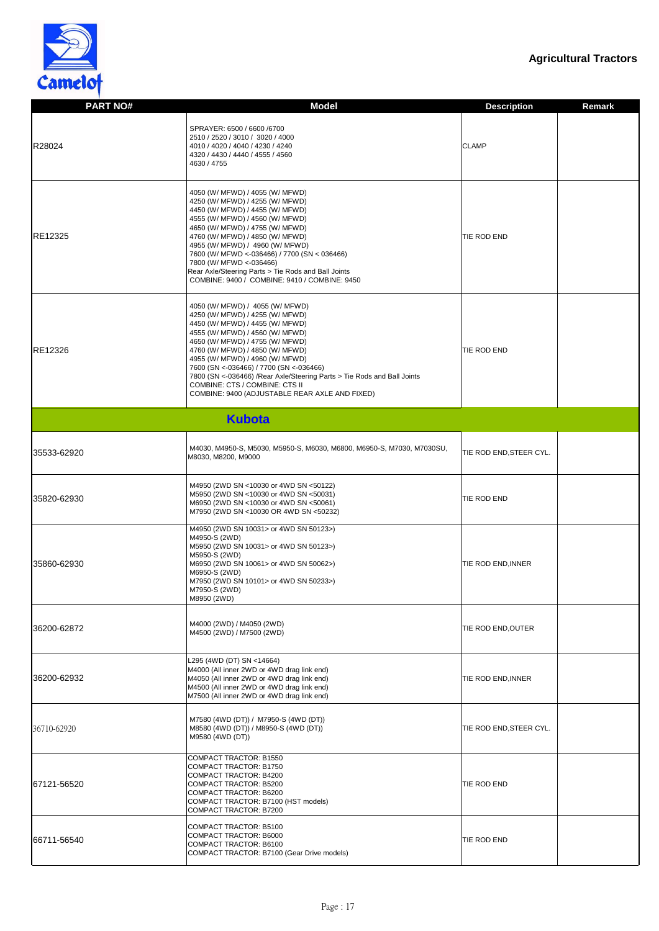

| <b>PART NO#</b> | <b>Model</b>                                                                                                                                                                                                                                                                                                                                                                                                                                                    | <b>Remark</b><br><b>Description</b> |
|-----------------|-----------------------------------------------------------------------------------------------------------------------------------------------------------------------------------------------------------------------------------------------------------------------------------------------------------------------------------------------------------------------------------------------------------------------------------------------------------------|-------------------------------------|
| R28024          | SPRAYER: 6500 / 6600 / 6700<br>2510 / 2520 / 3010 / 3020 / 4000<br>4010 / 4020 / 4040 / 4230 / 4240<br>4320 / 4430 / 4440 / 4555 / 4560<br>4630 / 4755                                                                                                                                                                                                                                                                                                          | <b>CLAMP</b>                        |
| <b>RE12325</b>  | 4050 (W/ MFWD) / 4055 (W/ MFWD)<br>4250 (W/ MFWD) / 4255 (W/ MFWD)<br>4450 (W/ MFWD) / 4455 (W/ MFWD)<br>4555 (W/ MFWD) / 4560 (W/ MFWD)<br>4650 (W/ MFWD) / 4755 (W/ MFWD)<br>4760 (W/ MFWD) / 4850 (W/ MFWD)<br>4955 (W/ MFWD) / 4960 (W/ MFWD)<br>7600 (W/ MFWD <- 036466) / 7700 (SN < 036466)<br>7800 (W/ MFWD <- 036466)<br>Rear Axle/Steering Parts > Tie Rods and Ball Joints<br>COMBINE: 9400 / COMBINE: 9410 / COMBINE: 9450                          | TIE ROD END                         |
| <b>RE12326</b>  | 4050 (W/ MFWD) / 4055 (W/ MFWD)<br>4250 (W/ MFWD) / 4255 (W/ MFWD)<br>4450 (W/ MFWD) / 4455 (W/ MFWD)<br>4555 (W/ MFWD) / 4560 (W/ MFWD)<br>4650 (W/ MFWD) / 4755 (W/ MFWD)<br>4760 (W/ MFWD) / 4850 (W/ MFWD)<br>4955 (W/ MFWD) / 4960 (W/ MFWD)<br>7600 (SN <- 036466) / 7700 (SN <- 036466)<br>7800 (SN <- 036466) / Rear Axle/Steering Parts > Tie Rods and Ball Joints<br>COMBINE: CTS / COMBINE: CTS II<br>COMBINE: 9400 (ADJUSTABLE REAR AXLE AND FIXED) | <b>TIE ROD END</b>                  |
|                 | <b>Kubota</b>                                                                                                                                                                                                                                                                                                                                                                                                                                                   |                                     |
| 35533-62920     | M4030, M4950-S, M5030, M5950-S, M6030, M6800, M6950-S, M7030, M7030SU,<br>M8030, M8200, M9000                                                                                                                                                                                                                                                                                                                                                                   | TIE ROD END, STEER CYL.             |
| 35820-62930     | M4950 (2WD SN <10030 or 4WD SN <50122)<br>M5950 (2WD SN <10030 or 4WD SN <50031)<br>M6950 (2WD SN <10030 or 4WD SN <50061)<br>M7950 (2WD SN <10030 OR 4WD SN <50232)                                                                                                                                                                                                                                                                                            | TIE ROD END                         |
| 35860-62930     | M4950 (2WD SN 10031> or 4WD SN 50123>)<br>M4950-S (2WD)<br>M5950 (2WD SN 10031> or 4WD SN 50123>)<br>M5950-S (2WD)<br>M6950 (2WD SN 10061> or 4WD SN 50062>)<br>M6950-S (2WD)<br>M7950 (2WD SN 10101> or 4WD SN 50233>)<br>M7950-S (2WD)<br>M8950 (2WD)                                                                                                                                                                                                         | TIE ROD END, INNER                  |
| 36200-62872     | M4000 (2WD) / M4050 (2WD)<br>M4500 (2WD) / M7500 (2WD)                                                                                                                                                                                                                                                                                                                                                                                                          | TIE ROD END, OUTER                  |
| 36200-62932     | L295 (4WD (DT) SN <14664)<br>M4000 (All inner 2WD or 4WD drag link end)<br>M4050 (All inner 2WD or 4WD drag link end)<br>M4500 (All inner 2WD or 4WD drag link end)<br>M7500 (All inner 2WD or 4WD drag link end)                                                                                                                                                                                                                                               | TIE ROD END, INNER                  |
| 36710-62920     | M7580 (4WD (DT)) / M7950-S (4WD (DT))<br>M8580 (4WD (DT)) / M8950-S (4WD (DT))<br>M9580 (4WD (DT))                                                                                                                                                                                                                                                                                                                                                              | TIE ROD END, STEER CYL.             |
| 67121-56520     | COMPACT TRACTOR: B1550<br>COMPACT TRACTOR: B1750<br><b>COMPACT TRACTOR: B4200</b><br>COMPACT TRACTOR: B5200<br>COMPACT TRACTOR: B6200<br>COMPACT TRACTOR: B7100 (HST models)<br>COMPACT TRACTOR: B7200                                                                                                                                                                                                                                                          | TIE ROD END                         |
| 66711-56540     | COMPACT TRACTOR: B5100<br>COMPACT TRACTOR: B6000<br>COMPACT TRACTOR: B6100<br>COMPACT TRACTOR: B7100 (Gear Drive models)                                                                                                                                                                                                                                                                                                                                        | TIE ROD END                         |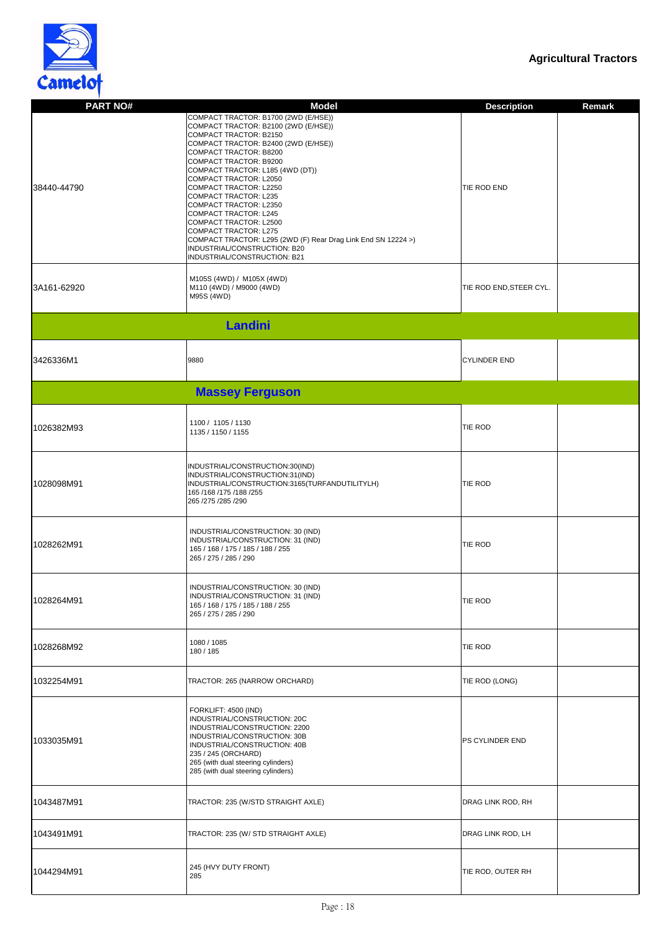

| <b>PART NO#</b> | <b>Model</b>                                                                                                                                                                                                                                                                                                                                                                                                                                                                                                                                               | <b>Description</b>      | <b>Remark</b> |
|-----------------|------------------------------------------------------------------------------------------------------------------------------------------------------------------------------------------------------------------------------------------------------------------------------------------------------------------------------------------------------------------------------------------------------------------------------------------------------------------------------------------------------------------------------------------------------------|-------------------------|---------------|
| 38440-44790     | COMPACT TRACTOR: B1700 (2WD (E/HSE))<br>COMPACT TRACTOR: B2100 (2WD (E/HSE))<br>COMPACT TRACTOR: B2150<br>COMPACT TRACTOR: B2400 (2WD (E/HSE))<br>COMPACT TRACTOR: B8200<br>COMPACT TRACTOR: B9200<br>COMPACT TRACTOR: L185 (4WD (DT))<br>COMPACT TRACTOR: L2050<br>COMPACT TRACTOR: L2250<br>COMPACT TRACTOR: L235<br>COMPACT TRACTOR: L2350<br>COMPACT TRACTOR: L245<br>COMPACT TRACTOR: L2500<br>COMPACT TRACTOR: L275<br>COMPACT TRACTOR: L295 (2WD (F) Rear Drag Link End SN 12224 >)<br>INDUSTRIAL/CONSTRUCTION: B20<br>INDUSTRIAL/CONSTRUCTION: B21 | TIE ROD END             |               |
| 3A161-62920     | M105S (4WD) / M105X (4WD)<br>M110 (4WD) / M9000 (4WD)<br>M95S (4WD)                                                                                                                                                                                                                                                                                                                                                                                                                                                                                        | TIE ROD END, STEER CYL. |               |
|                 | Landini                                                                                                                                                                                                                                                                                                                                                                                                                                                                                                                                                    |                         |               |
| 3426336M1       | 9880                                                                                                                                                                                                                                                                                                                                                                                                                                                                                                                                                       | <b>CYLINDER END</b>     |               |
|                 | <b>Massey Ferguson</b>                                                                                                                                                                                                                                                                                                                                                                                                                                                                                                                                     |                         |               |
| 1026382M93      | 1100 / 1105 / 1130<br>1135 / 1150 / 1155                                                                                                                                                                                                                                                                                                                                                                                                                                                                                                                   | <b>TIE ROD</b>          |               |
| 1028098M91      | INDUSTRIAL/CONSTRUCTION:30(IND)<br>INDUSTRIAL/CONSTRUCTION:31(IND)<br>INDUSTRIAL/CONSTRUCTION:3165(TURFANDUTILITYLH)<br>165 /168 /175 /188 /255<br>265 /275 /285 /290                                                                                                                                                                                                                                                                                                                                                                                      | <b>TIE ROD</b>          |               |
| 1028262M91      | INDUSTRIAL/CONSTRUCTION: 30 (IND)<br>INDUSTRIAL/CONSTRUCTION: 31 (IND)<br>165 / 168 / 175 / 185 / 188 / 255<br>265 / 275 / 285 / 290                                                                                                                                                                                                                                                                                                                                                                                                                       | <b>TIE ROD</b>          |               |
| 1028264M91      | INDUSTRIAL/CONSTRUCTION: 30 (IND)<br>INDUSTRIAL/CONSTRUCTION: 31 (IND)<br>165 / 168 / 175 / 185 / 188 / 255<br>265 / 275 / 285 / 290                                                                                                                                                                                                                                                                                                                                                                                                                       | <b>TIE ROD</b>          |               |
| 1028268M92      | 1080 / 1085<br>180 / 185                                                                                                                                                                                                                                                                                                                                                                                                                                                                                                                                   | <b>TIE ROD</b>          |               |
| 1032254M91      | TRACTOR: 265 (NARROW ORCHARD)                                                                                                                                                                                                                                                                                                                                                                                                                                                                                                                              | TIE ROD (LONG)          |               |
| 1033035M91      | <b>FORKLIFT: 4500 (IND)</b><br>INDUSTRIAL/CONSTRUCTION: 20C<br>INDUSTRIAL/CONSTRUCTION: 2200<br>INDUSTRIAL/CONSTRUCTION: 30B<br>INDUSTRIAL/CONSTRUCTION: 40B<br>235 / 245 (ORCHARD)<br>265 (with dual steering cylinders)<br>285 (with dual steering cylinders)                                                                                                                                                                                                                                                                                            | PS CYLINDER END         |               |
| 1043487M91      | TRACTOR: 235 (W/STD STRAIGHT AXLE)                                                                                                                                                                                                                                                                                                                                                                                                                                                                                                                         | DRAG LINK ROD, RH       |               |
| 1043491M91      | TRACTOR: 235 (W/ STD STRAIGHT AXLE)                                                                                                                                                                                                                                                                                                                                                                                                                                                                                                                        | DRAG LINK ROD, LH       |               |
| 1044294M91      | 245 (HVY DUTY FRONT)<br>285                                                                                                                                                                                                                                                                                                                                                                                                                                                                                                                                | TIE ROD, OUTER RH       |               |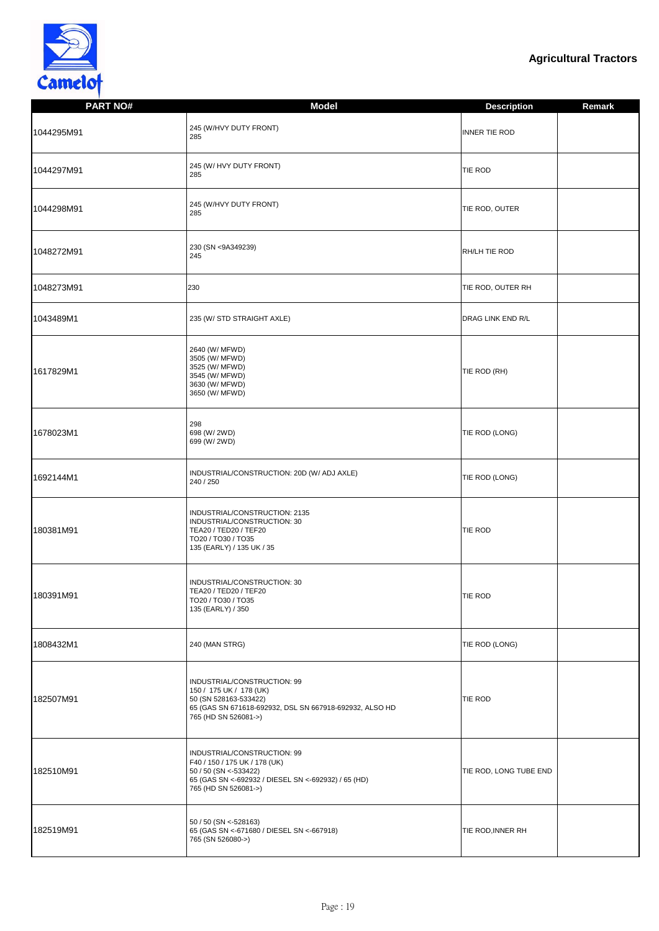

| <b>PART NO#</b> | <b>Model</b>                                                                                                                                                            | <b>Description</b>       | <b>Remark</b> |
|-----------------|-------------------------------------------------------------------------------------------------------------------------------------------------------------------------|--------------------------|---------------|
| 1044295M91      | 245 (W/HVY DUTY FRONT)<br>285                                                                                                                                           | <b>INNER TIE ROD</b>     |               |
| 1044297M91      | 245 (W/ HVY DUTY FRONT)<br>285                                                                                                                                          | <b>TIE ROD</b>           |               |
| 1044298M91      | 245 (W/HVY DUTY FRONT)<br>285                                                                                                                                           | TIE ROD, OUTER           |               |
| 1048272M91      | 230 (SN <9A349239)<br>245                                                                                                                                               | RH/LH TIE ROD            |               |
| 1048273M91      | 230                                                                                                                                                                     | TIE ROD, OUTER RH        |               |
| 1043489M1       | 235 (W/ STD STRAIGHT AXLE)                                                                                                                                              | <b>DRAG LINK END R/L</b> |               |
| 1617829M1       | 2640 (W/ MFWD)<br>3505 (W/ MFWD)<br>3525 (W/ MFWD)<br>3545 (W/ MFWD)<br>3630 (W/ MFWD)<br>3650 (W/ MFWD)                                                                | TIE ROD (RH)             |               |
| 1678023M1       | 298<br>698 (W/ 2WD)<br>699 (W/ 2WD)                                                                                                                                     | TIE ROD (LONG)           |               |
| 1692144M1       | INDUSTRIAL/CONSTRUCTION: 20D (W/ ADJ AXLE)<br>240 / 250                                                                                                                 | TIE ROD (LONG)           |               |
| 180381M91       | INDUSTRIAL/CONSTRUCTION: 2135<br>INDUSTRIAL/CONSTRUCTION: 30<br>TEA20 / TED20 / TEF20<br>TO20 / TO30 / TO35<br>135 (EARLY) / 135 UK / 35                                | <b>TIE ROD</b>           |               |
| 180391M91       | INDUSTRIAL/CONSTRUCTION: 30<br>TEA20 / TED20 / TEF20<br>TO20 / TO30 / TO35<br>135 (EARLY) / 350                                                                         | <b>TIE ROD</b>           |               |
| 1808432M1       | 240 (MAN STRG)                                                                                                                                                          | TIE ROD (LONG)           |               |
| 182507M91       | INDUSTRIAL/CONSTRUCTION: 99<br>150 / 175 UK / 178 (UK)<br>50 (SN 528163-533422)<br>65 (GAS SN 671618-692932, DSL SN 667918-692932, ALSO HD<br>765 (HD SN 526081->)      | <b>TIE ROD</b>           |               |
| 182510M91       | INDUSTRIAL/CONSTRUCTION: 99<br>F40 / 150 / 175 UK / 178 (UK)<br>50 / 50 (SN <- 533422)<br>65 (GAS SN <- 692932 / DIESEL SN <- 692932) / 65 (HD)<br>765 (HD SN 526081->) | TIE ROD, LONG TUBE END   |               |
| 182519M91       | 50 / 50 (SN <- 528163)<br>65 (GAS SN <- 671680 / DIESEL SN <- 667918)<br>765 (SN 526080->)                                                                              | TIE ROD, INNER RH        |               |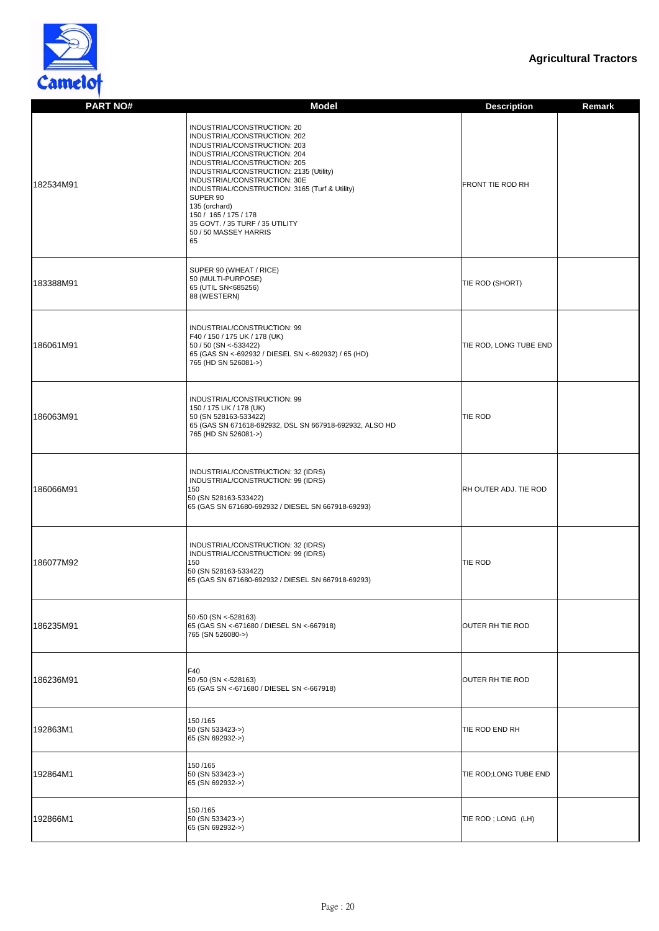

| <b>PART NO#</b> | <b>Model</b>                                                                                                                                                                                                                                                                                                                                                                                                     | <b>Description</b><br><b>Remark</b> |
|-----------------|------------------------------------------------------------------------------------------------------------------------------------------------------------------------------------------------------------------------------------------------------------------------------------------------------------------------------------------------------------------------------------------------------------------|-------------------------------------|
| 182534M91       | INDUSTRIAL/CONSTRUCTION: 20<br>INDUSTRIAL/CONSTRUCTION: 202<br>INDUSTRIAL/CONSTRUCTION: 203<br>INDUSTRIAL/CONSTRUCTION: 204<br>INDUSTRIAL/CONSTRUCTION: 205<br>INDUSTRIAL/CONSTRUCTION: 2135 (Utility)<br>INDUSTRIAL/CONSTRUCTION: 30E<br>INDUSTRIAL/CONSTRUCTION: 3165 (Turf & Utility)<br>SUPER 90<br>135 (orchard)<br>150 / 165 / 175 / 178<br>35 GOVT. / 35 TURF / 35 UTILITY<br>50 / 50 MASSEY HARRIS<br>65 | <b>FRONT TIE ROD RH</b>             |
| 183388M91       | SUPER 90 (WHEAT / RICE)<br>50 (MULTI-PURPOSE)<br>65 (UTIL SN<685256)<br>88 (WESTERN)                                                                                                                                                                                                                                                                                                                             | TIE ROD (SHORT)                     |
| 186061M91       | INDUSTRIAL/CONSTRUCTION: 99<br>F40 / 150 / 175 UK / 178 (UK)<br>50 / 50 (SN <- 533422)<br>65 (GAS SN <- 692932 / DIESEL SN <- 692932) / 65 (HD)<br>765 (HD SN 526081->)                                                                                                                                                                                                                                          | TIE ROD, LONG TUBE END              |
| 186063M91       | INDUSTRIAL/CONSTRUCTION: 99<br>150 / 175 UK / 178 (UK)<br>50 (SN 528163-533422)<br>65 (GAS SN 671618-692932, DSL SN 667918-692932, ALSO HD<br>765 (HD SN 526081->)                                                                                                                                                                                                                                               | <b>TIE ROD</b>                      |
| 186066M91       | INDUSTRIAL/CONSTRUCTION: 32 (IDRS)<br>INDUSTRIAL/CONSTRUCTION: 99 (IDRS)<br>150<br>50 (SN 528163-533422)<br>65 (GAS SN 671680-692932 / DIESEL SN 667918-69293)                                                                                                                                                                                                                                                   | RH OUTER ADJ. TIE ROD               |
| 186077M92       | INDUSTRIAL/CONSTRUCTION: 32 (IDRS)<br>INDUSTRIAL/CONSTRUCTION: 99 (IDRS)<br>150<br>50 (SN 528163-533422)<br>65 (GAS SN 671680-692932 / DIESEL SN 667918-69293)                                                                                                                                                                                                                                                   | <b>TIE ROD</b>                      |
| 186235M91       | 50 / 50 (SN < - 528163)<br>65 (GAS SN <- 671680 / DIESEL SN <- 667918)<br>765 (SN 526080->)                                                                                                                                                                                                                                                                                                                      | OUTER RH TIE ROD                    |
| 186236M91       | F40<br>50 / 50 (SN < - 528163)<br>65 (GAS SN <- 671680 / DIESEL SN <- 667918)                                                                                                                                                                                                                                                                                                                                    | OUTER RH TIE ROD                    |
| 192863M1        | 150/165<br>50 (SN 533423->)<br>65 (SN 692932->)                                                                                                                                                                                                                                                                                                                                                                  | TIE ROD END RH                      |
| 192864M1        | 150/165<br>50 (SN 533423->)<br>65 (SN 692932->)                                                                                                                                                                                                                                                                                                                                                                  | TIE ROD;LONG TUBE END               |
| 192866M1        | 150/165<br>50 (SN 533423->)<br>65 (SN 692932->)                                                                                                                                                                                                                                                                                                                                                                  | TIE ROD; LONG (LH)                  |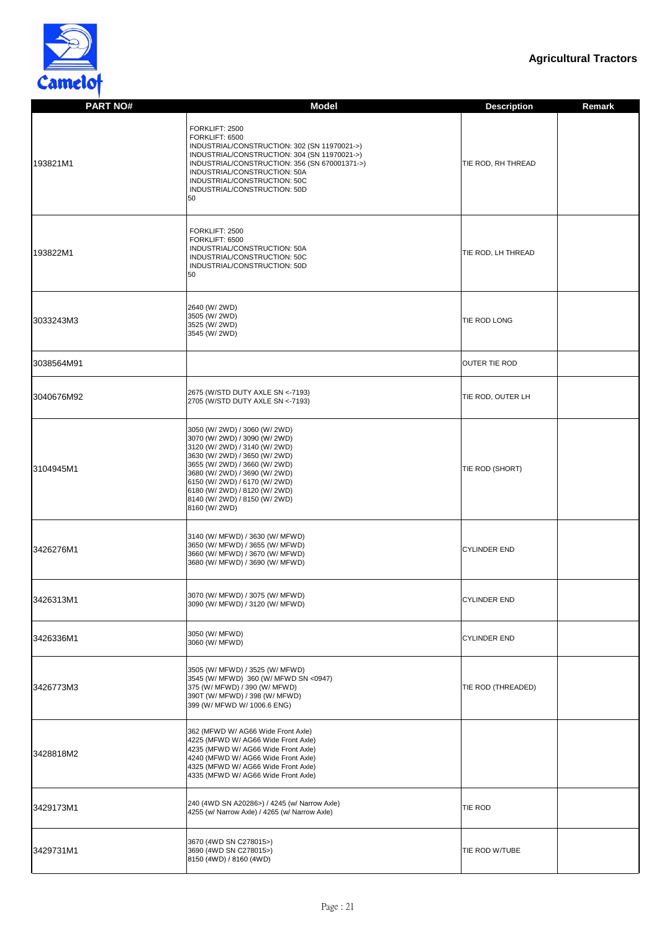

| <b>PART NO#</b> | <b>Model</b>                                                                                                                                                                                                                                                                                                            | <b>Description</b>   | <b>Remark</b> |
|-----------------|-------------------------------------------------------------------------------------------------------------------------------------------------------------------------------------------------------------------------------------------------------------------------------------------------------------------------|----------------------|---------------|
| 193821M1        | FORKLIFT: 2500<br>FORKLIFT: 6500<br>INDUSTRIAL/CONSTRUCTION: 302 (SN 11970021->)<br>INDUSTRIAL/CONSTRUCTION: 304 (SN 11970021->)<br>INDUSTRIAL/CONSTRUCTION: 356 (SN 670001371->)<br>INDUSTRIAL/CONSTRUCTION: 50A<br>INDUSTRIAL/CONSTRUCTION: 50C<br>INDUSTRIAL/CONSTRUCTION: 50D<br>50                                 | TIE ROD, RH THREAD   |               |
| 193822M1        | FORKLIFT: 2500<br>FORKLIFT: 6500<br>INDUSTRIAL/CONSTRUCTION: 50A<br>INDUSTRIAL/CONSTRUCTION: 50C<br>INDUSTRIAL/CONSTRUCTION: 50D<br>50                                                                                                                                                                                  | TIE ROD, LH THREAD   |               |
| 3033243M3       | 2640 (W/ 2WD)<br>3505 (W/ 2WD)<br>3525 (W/ 2WD)<br>3545 (W/ 2WD)                                                                                                                                                                                                                                                        | <b>TIE ROD LONG</b>  |               |
| 3038564M91      |                                                                                                                                                                                                                                                                                                                         | <b>OUTER TIE ROD</b> |               |
| 3040676M92      | 2675 (W/STD DUTY AXLE SN <- 7193)<br>2705 (W/STD DUTY AXLE SN <- 7193)                                                                                                                                                                                                                                                  | TIE ROD, OUTER LH    |               |
| 3104945M1       | 3050 (W/ 2WD) / 3060 (W/ 2WD)<br>3070 (W/ 2WD) / 3090 (W/ 2WD)<br> 3120 (W/ 2WD) / 3140 (W/ 2WD)<br>3630 (W/ 2WD) / 3650 (W/ 2WD)<br>3655 (W/ 2WD) / 3660 (W/ 2WD)<br>3680 (W/ 2WD) / 3690 (W/ 2WD)<br>6150 (W/ 2WD) / 6170 (W/ 2WD)<br>6180 (W/ 2WD) / 8120 (W/ 2WD)<br>8140 (W/ 2WD) / 8150 (W/ 2WD)<br>8160 (W/ 2WD) | TIE ROD (SHORT)      |               |
| 3426276M1       | 3140 (W/ MFWD) / 3630 (W/ MFWD)<br>3650 (W/ MFWD) / 3655 (W/ MFWD)<br>3660 (W/ MFWD) / 3670 (W/ MFWD)<br>3680 (W/ MFWD) / 3690 (W/ MFWD)                                                                                                                                                                                | <b>CYLINDER END</b>  |               |
| 3426313M1       | 3070 (W/ MFWD) / 3075 (W/ MFWD)<br>3090 (W/ MFWD) / 3120 (W/ MFWD)                                                                                                                                                                                                                                                      | <b>CYLINDER END</b>  |               |
| 3426336M1       | 3050 (W/ MFWD)<br>3060 (W/ MFWD)                                                                                                                                                                                                                                                                                        | <b>CYLINDER END</b>  |               |
| 3426773M3       | 3505 (W/ MFWD) / 3525 (W/ MFWD)<br>3545 (W/ MFWD) 360 (W/ MFWD SN <0947)<br>375 (W/ MFWD) / 390 (W/ MFWD)<br>390T (W/ MFWD) / 398 (W/ MFWD)<br>399 (W/ MFWD W/ 1006.6 ENG)                                                                                                                                              | TIE ROD (THREADED)   |               |
| 3428818M2       | 362 (MFWD W/ AG66 Wide Front Axle)<br>4225 (MFWD W/ AG66 Wide Front Axle)<br>4235 (MFWD W/ AG66 Wide Front Axle)<br>4240 (MFWD W/ AG66 Wide Front Axle)<br>4325 (MFWD W/ AG66 Wide Front Axle)<br>4335 (MFWD W/ AG66 Wide Front Axle)                                                                                   |                      |               |
| 3429173M1       | 240 (4WD SN A20286>) / 4245 (w/ Narrow Axle)<br>4255 (w/ Narrow Axle) / 4265 (w/ Narrow Axle)                                                                                                                                                                                                                           | <b>TIE ROD</b>       |               |
| 3429731M1       | 3670 (4WD SN C278015>)<br>3690 (4WD SN C278015>)<br>8150 (4WD) / 8160 (4WD)                                                                                                                                                                                                                                             | TIE ROD W/TUBE       |               |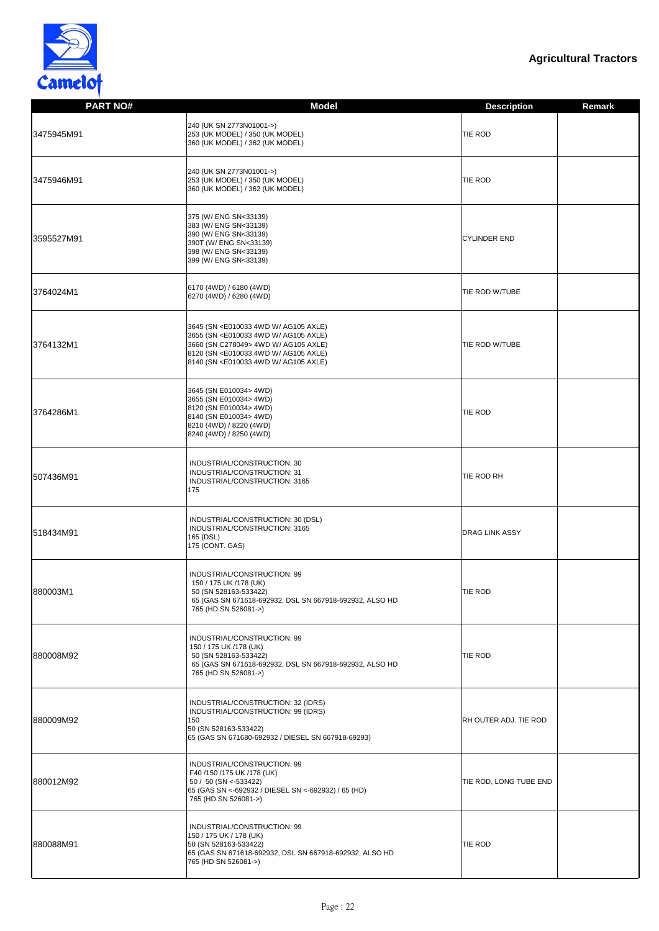

| <b>PART NO#</b> | <b>Model</b>                                                                                                                                                                                                                                                                                                                | <b>Description</b><br>Remark |
|-----------------|-----------------------------------------------------------------------------------------------------------------------------------------------------------------------------------------------------------------------------------------------------------------------------------------------------------------------------|------------------------------|
| 3475945M91      | 240 (UK SN 2773N01001->)<br>253 (UK MODEL) / 350 (UK MODEL)<br>360 (UK MODEL) / 362 (UK MODEL)                                                                                                                                                                                                                              | <b>TIE ROD</b>               |
| 3475946M91      | 240 (UK SN 2773N01001->)<br>253 (UK MODEL) / 350 (UK MODEL)<br>360 (UK MODEL) / 362 (UK MODEL)                                                                                                                                                                                                                              | TIE ROD                      |
| 3595527M91      | 375 (W/ ENG SN<33139)<br>383 (W/ ENG SN<33139)<br>390 (W/ ENG SN<33139)<br>390T (W/ ENG SN<33139)<br>398 (W/ ENG SN<33139)<br>399 (W/ ENG SN<33139)                                                                                                                                                                         | <b>CYLINDER END</b>          |
| 3764024M1       | 6170 (4WD) / 6180 (4WD)<br>6270 (4WD) / 6280 (4WD)                                                                                                                                                                                                                                                                          | TIE ROD W/TUBE               |
| 3764132M1       | 3645 (SN <e010033 4wd="" ag105="" axle)<br="" w="">3655 (SN <e010033 4wd="" ag105="" axle)<br="" w="">3660 (SN C278049&gt; 4WD W/ AG105 AXLE)<br/>8120 (SN <e010033 4wd="" ag105="" axle)<br="" w="">8140 (SN <e010033 4wd="" ag105="" axle)<="" td="" w=""><td>TIE ROD W/TUBE</td></e010033></e010033></e010033></e010033> | TIE ROD W/TUBE               |
| 3764286M1       | 3645 (SN E010034> 4WD)<br>3655 (SN E010034> 4WD)<br>8120 (SN E010034> 4WD)<br>8140 (SN E010034> 4WD)<br>8210 (4WD) / 8220 (4WD)<br>8240 (4WD) / 8250 (4WD)                                                                                                                                                                  | <b>TIE ROD</b>               |
| 507436M91       | INDUSTRIAL/CONSTRUCTION: 30<br>INDUSTRIAL/CONSTRUCTION: 31<br>INDUSTRIAL/CONSTRUCTION: 3165<br>175                                                                                                                                                                                                                          | TIE ROD RH                   |
| 518434M91       | INDUSTRIAL/CONSTRUCTION: 30 (DSL)<br>INDUSTRIAL/CONSTRUCTION: 3165<br>165 (DSL)<br>175 (CONT. GAS)                                                                                                                                                                                                                          | <b>DRAG LINK ASSY</b>        |
| 880003M1        | INDUSTRIAL/CONSTRUCTION: 99<br>150 / 175 UK /178 (UK)<br>50 (SN 528163-533422)<br>65 (GAS SN 671618-692932, DSL SN 667918-692932, ALSO HD<br>765 (HD SN 526081->)                                                                                                                                                           | TIE ROD                      |
| 880008M92       | INDUSTRIAL/CONSTRUCTION: 99<br>150 / 175 UK /178 (UK)<br>50 (SN 528163-533422)<br>65 (GAS SN 671618-692932, DSL SN 667918-692932, ALSO HD<br>765 (HD SN 526081->)                                                                                                                                                           | TIE ROD                      |
| 880009M92       | INDUSTRIAL/CONSTRUCTION: 32 (IDRS)<br>INDUSTRIAL/CONSTRUCTION: 99 (IDRS)<br>150<br>50 (SN 528163-533422)<br>65 (GAS SN 671680-692932 / DIESEL SN 667918-69293)                                                                                                                                                              | RH OUTER ADJ. TIE ROD        |
| 880012M92       | INDUSTRIAL/CONSTRUCTION: 99<br>F40 /150 /175 UK /178 (UK)<br>50 / 50 (SN <- 533422)<br>65 (GAS SN <-692932 / DIESEL SN <-692932) / 65 (HD)<br>765 (HD SN 526081->)                                                                                                                                                          | TIE ROD, LONG TUBE END       |
| 880088M91       | INDUSTRIAL/CONSTRUCTION: 99<br>150 / 175 UK / 178 (UK)<br>50 (SN 528163-533422)<br>65 (GAS SN 671618-692932, DSL SN 667918-692932, ALSO HD<br>765 (HD SN 526081->)                                                                                                                                                          | <b>TIE ROD</b>               |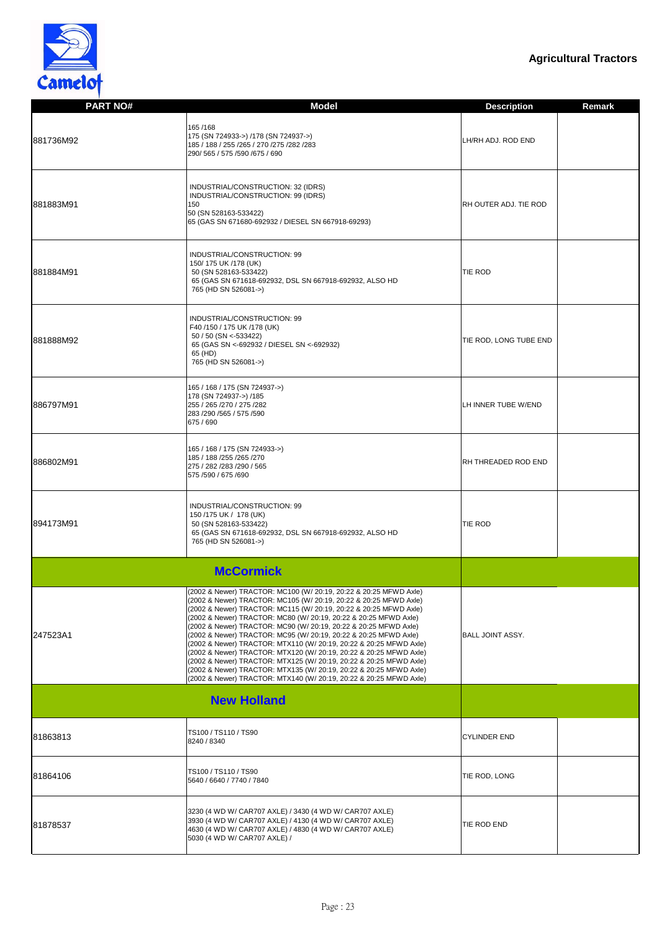

| <b>PART NO#</b> | <b>Model</b>                                                                                                                                                                                                                                                                                                                                                                                                                                                                                                                                                                                                                                                                                                                                                                          | <b>Description</b><br><b>Remark</b> |
|-----------------|---------------------------------------------------------------------------------------------------------------------------------------------------------------------------------------------------------------------------------------------------------------------------------------------------------------------------------------------------------------------------------------------------------------------------------------------------------------------------------------------------------------------------------------------------------------------------------------------------------------------------------------------------------------------------------------------------------------------------------------------------------------------------------------|-------------------------------------|
| 881736M92       | 165/168<br>175 (SN 724933->) /178 (SN 724937->)<br>185 / 188 / 255 / 265 / 270 / 275 / 282 / 283<br>290/565 / 575 /590 /675 / 690                                                                                                                                                                                                                                                                                                                                                                                                                                                                                                                                                                                                                                                     | LH/RH ADJ. ROD END                  |
| 881883M91       | INDUSTRIAL/CONSTRUCTION: 32 (IDRS)<br>INDUSTRIAL/CONSTRUCTION: 99 (IDRS)<br>150<br>50 (SN 528163-533422)<br>65 (GAS SN 671680-692932 / DIESEL SN 667918-69293)                                                                                                                                                                                                                                                                                                                                                                                                                                                                                                                                                                                                                        | <b>RH OUTER ADJ. TIE ROD</b>        |
| 881884M91       | INDUSTRIAL/CONSTRUCTION: 99<br>150/175 UK /178 (UK)<br>50 (SN 528163-533422)<br>65 (GAS SN 671618-692932, DSL SN 667918-692932, ALSO HD<br>765 (HD SN 526081->)                                                                                                                                                                                                                                                                                                                                                                                                                                                                                                                                                                                                                       | TIE ROD                             |
| 881888M92       | INDUSTRIAL/CONSTRUCTION: 99<br>F40 /150 / 175 UK /178 (UK)<br>50 / 50 (SN <- 533422)<br>65 (GAS SN <- 692932 / DIESEL SN <- 692932)<br>65 (HD)<br>765 (HD SN 526081->)                                                                                                                                                                                                                                                                                                                                                                                                                                                                                                                                                                                                                | TIE ROD, LONG TUBE END              |
| 886797M91       | 165 / 168 / 175 (SN 724937->)<br>178 (SN 724937->) /185<br>255 / 265 / 270 / 275 / 282<br>283 /290 /565 / 575 /590<br>675 / 690                                                                                                                                                                                                                                                                                                                                                                                                                                                                                                                                                                                                                                                       | LH INNER TUBE W/END                 |
| 886802M91       | 165 / 168 / 175 (SN 724933->)<br>185 / 188 / 255 / 265 / 270<br>275 / 282 / 283 / 290 / 565<br>575 /590 / 675 /690                                                                                                                                                                                                                                                                                                                                                                                                                                                                                                                                                                                                                                                                    | <b>RH THREADED ROD END</b>          |
| 894173M91       | INDUSTRIAL/CONSTRUCTION: 99<br>150 /175 UK / 178 (UK)<br>50 (SN 528163-533422)<br>65 (GAS SN 671618-692932, DSL SN 667918-692932, ALSO HD<br>765 (HD SN 526081->)                                                                                                                                                                                                                                                                                                                                                                                                                                                                                                                                                                                                                     | TIE ROD                             |
|                 | <b>McCormick</b>                                                                                                                                                                                                                                                                                                                                                                                                                                                                                                                                                                                                                                                                                                                                                                      |                                     |
| 247523A1        | (2002 & Newer) TRACTOR: MC100 (W/ 20:19, 20:22 & 20:25 MFWD Axle)<br>(2002 & Newer) TRACTOR: MC105 (W/ 20:19, 20:22 & 20:25 MFWD Axle)<br>(2002 & Newer) TRACTOR: MC115 (W/ 20:19, 20:22 & 20:25 MFWD Axle)<br>(2002 & Newer) TRACTOR: MC80 (W/ 20:19, 20:22 & 20:25 MFWD Axle)<br>(2002 & Newer) TRACTOR: MC90 (W/ 20:19, 20:22 & 20:25 MFWD Axle)<br>(2002 & Newer) TRACTOR: MC95 (W/ 20:19, 20:22 & 20:25 MFWD Axle)<br>(2002 & Newer) TRACTOR: MTX110 (W/ 20:19, 20:22 & 20:25 MFWD Axle)<br>(2002 & Newer) TRACTOR: MTX120 (W/ 20:19, 20:22 & 20:25 MFWD Axle)<br>(2002 & Newer) TRACTOR: MTX125 (W/ 20:19, 20:22 & 20:25 MFWD Axle)<br>(2002 & Newer) TRACTOR: MTX135 (W/ 20:19, 20:22 & 20:25 MFWD Axle)<br>(2002 & Newer) TRACTOR: MTX140 (W/ 20:19, 20:22 & 20:25 MFWD Axle) | <b>BALL JOINT ASSY.</b>             |
|                 | <b>New Holland</b>                                                                                                                                                                                                                                                                                                                                                                                                                                                                                                                                                                                                                                                                                                                                                                    |                                     |
| 81863813        | TS100 / TS110 / TS90<br>8240 / 8340                                                                                                                                                                                                                                                                                                                                                                                                                                                                                                                                                                                                                                                                                                                                                   | <b>CYLINDER END</b>                 |
| 81864106        | TS100 / TS110 / TS90<br>5640 / 6640 / 7740 / 7840                                                                                                                                                                                                                                                                                                                                                                                                                                                                                                                                                                                                                                                                                                                                     | TIE ROD, LONG                       |
| 81878537        | 3230 (4 WD W/ CAR707 AXLE) / 3430 (4 WD W/ CAR707 AXLE)<br>3930 (4 WD W/ CAR707 AXLE) / 4130 (4 WD W/ CAR707 AXLE)<br>4630 (4 WD W/ CAR707 AXLE) / 4830 (4 WD W/ CAR707 AXLE)<br>5030 (4 WD W/ CAR707 AXLE) /                                                                                                                                                                                                                                                                                                                                                                                                                                                                                                                                                                         | TIE ROD END                         |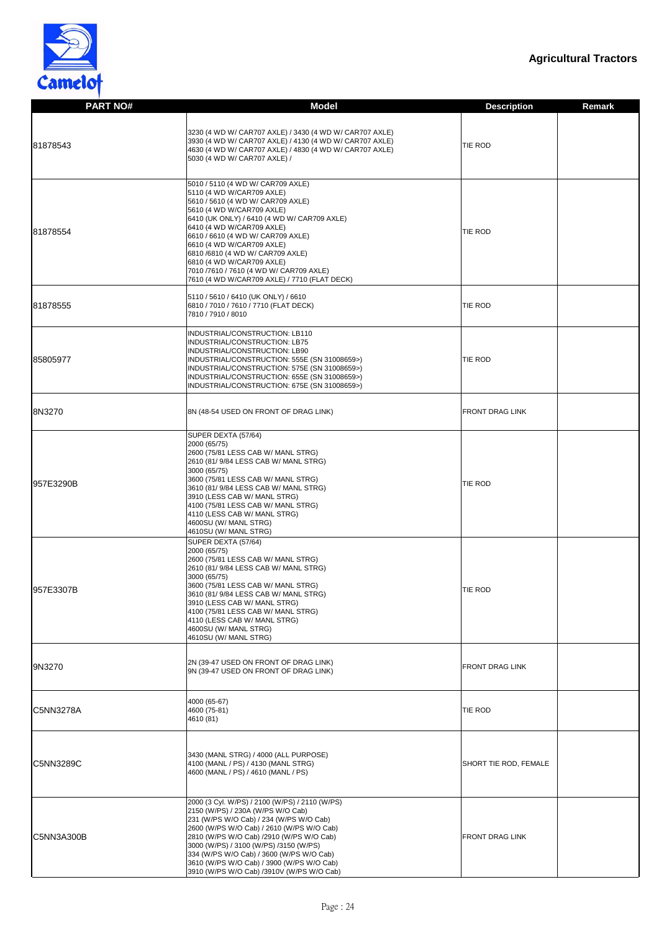

| <b>PART NO#</b>  | <b>Model</b>                                                                                                                                                                                                                                                                                                                                                                                                                                | <b>Description</b><br><b>Remark</b> |
|------------------|---------------------------------------------------------------------------------------------------------------------------------------------------------------------------------------------------------------------------------------------------------------------------------------------------------------------------------------------------------------------------------------------------------------------------------------------|-------------------------------------|
| 81878543         | 3230 (4 WD W/ CAR707 AXLE) / 3430 (4 WD W/ CAR707 AXLE)<br>3930 (4 WD W/ CAR707 AXLE) / 4130 (4 WD W/ CAR707 AXLE)<br>4630 (4 WD W/ CAR707 AXLE) / 4830 (4 WD W/ CAR707 AXLE)<br>5030 (4 WD W/ CAR707 AXLE) /                                                                                                                                                                                                                               | TIE ROD                             |
| 81878554         | 5010 / 5110 (4 WD W/ CAR709 AXLE)<br>5110 (4 WD W/CAR709 AXLE)<br>5610 / 5610 (4 WD W/ CAR709 AXLE)<br>5610 (4 WD W/CAR709 AXLE)<br>6410 (UK ONLY) / 6410 (4 WD W/ CAR709 AXLE)<br>6410 (4 WD W/CAR709 AXLE)<br>6610 / 6610 (4 WD W/ CAR709 AXLE)<br>6610 (4 WD W/CAR709 AXLE)<br>6810 /6810 (4 WD W/ CAR709 AXLE)<br>6810 (4 WD W/CAR709 AXLE)<br>7010 / 7610 / 7610 (4 WD W/ CAR709 AXLE)<br>7610 (4 WD W/CAR709 AXLE) / 7710 (FLAT DECK) | TIE ROD                             |
| 81878555         | 5110 / 5610 / 6410 (UK ONLY) / 6610<br>6810 / 7010 / 7610 / 7710 (FLAT DECK)<br>7810 / 7910 / 8010                                                                                                                                                                                                                                                                                                                                          | TIE ROD                             |
| 85805977         | INDUSTRIAL/CONSTRUCTION: LB110<br>INDUSTRIAL/CONSTRUCTION: LB75<br>INDUSTRIAL/CONSTRUCTION: LB90<br>INDUSTRIAL/CONSTRUCTION: 555E (SN 31008659>)<br>INDUSTRIAL/CONSTRUCTION: 575E (SN 31008659>)<br>INDUSTRIAL/CONSTRUCTION: 655E (SN 31008659>)<br>INDUSTRIAL/CONSTRUCTION: 675E (SN 31008659>)                                                                                                                                            | TIE ROD                             |
| 8N3270           | 8N (48-54 USED ON FRONT OF DRAG LINK)                                                                                                                                                                                                                                                                                                                                                                                                       | <b>FRONT DRAG LINK</b>              |
| 957E3290B        | SUPER DEXTA (57/64)<br>2000 (65/75)<br>2600 (75/81 LESS CAB W/ MANL STRG)<br>2610 (81/ 9/84 LESS CAB W/ MANL STRG)<br>3000 (65/75)<br>3600 (75/81 LESS CAB W/ MANL STRG)<br>3610 (81/ 9/84 LESS CAB W/ MANL STRG)<br>3910 (LESS CAB W/ MANL STRG)<br>4100 (75/81 LESS CAB W/ MANL STRG)<br>4110 (LESS CAB W/ MANL STRG)<br>4600SU (W/ MANL STRG)<br>4610SU (W/ MANL STRG)                                                                   | TIE ROD                             |
| 957E3307B        | SUPER DEXTA (57/64)<br>2000 (65/75)<br>2600 (75/81 LESS CAB W/ MANL STRG)<br>2610 (81/ 9/84 LESS CAB W/ MANL STRG)<br>3000 (65/75)<br>3600 (75/81 LESS CAB W/ MANL STRG)<br>3610 (81/ 9/84 LESS CAB W/ MANL STRG)<br>3910 (LESS CAB W/ MANL STRG)<br>4100 (75/81 LESS CAB W/ MANL STRG)<br>4110 (LESS CAB W/ MANL STRG)<br>4600SU (W/ MANL STRG)<br>4610SU (W/ MANL STRG)                                                                   | TIE ROD                             |
| 9N3270           | 2N (39-47 USED ON FRONT OF DRAG LINK)<br>9N (39-47 USED ON FRONT OF DRAG LINK)                                                                                                                                                                                                                                                                                                                                                              | <b>FRONT DRAG LINK</b>              |
| <b>C5NN3278A</b> | 4000 (65-67)<br>4600 (75-81)<br>4610 (81)                                                                                                                                                                                                                                                                                                                                                                                                   | TIE ROD                             |
| <b>C5NN3289C</b> | 3430 (MANL STRG) / 4000 (ALL PURPOSE)<br>4100 (MANL / PS) / 4130 (MANL STRG)<br>4600 (MANL / PS) / 4610 (MANL / PS)                                                                                                                                                                                                                                                                                                                         | SHORT TIE ROD, FEMALE               |
| C5NN3A300B       | 2000 (3 Cyl. W/PS) / 2100 (W/PS) / 2110 (W/PS)<br>2150 (W/PS) / 230A (W/PS W/O Cab)<br>231 (W/PS W/O Cab) / 234 (W/PS W/O Cab)<br>2600 (W/PS W/O Cab) / 2610 (W/PS W/O Cab)<br>2810 (W/PS W/O Cab) /2910 (W/PS W/O Cab)<br>3000 (W/PS) / 3100 (W/PS) /3150 (W/PS)<br>334 (W/PS W/O Cab) / 3600 (W/PS W/O Cab)<br>3610 (W/PS W/O Cab) / 3900 (W/PS W/O Cab)<br>3910 (W/PS W/O Cab) /3910V (W/PS W/O Cab)                                     | <b>FRONT DRAG LINK</b>              |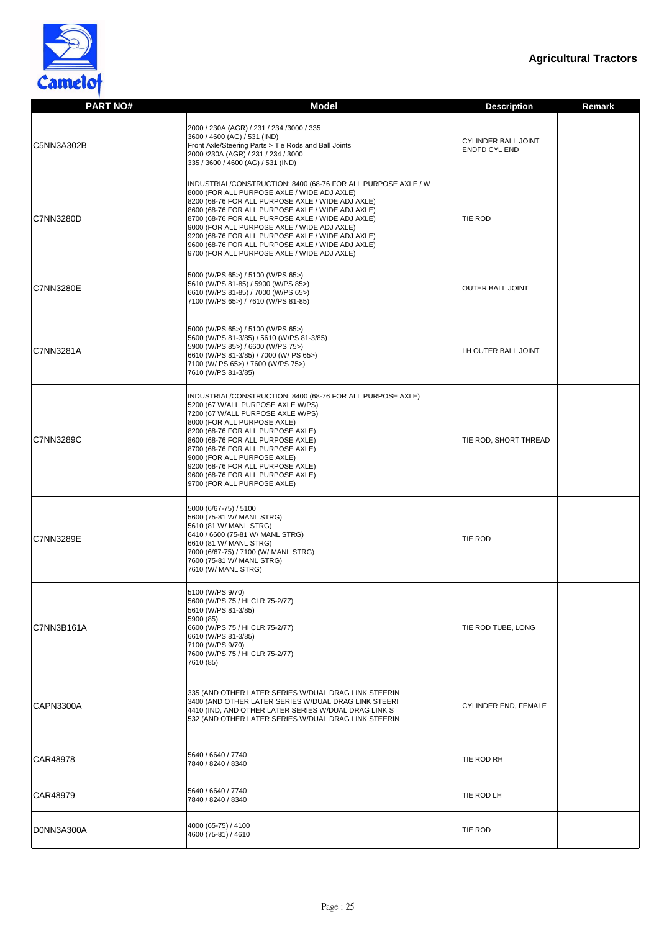

| <b>PART NO#</b>  | <b>Model</b>                                                                                                                                                                                                                                                                                                                                                                                                                                                                        | <b>Description</b>                                 | <b>Remark</b> |
|------------------|-------------------------------------------------------------------------------------------------------------------------------------------------------------------------------------------------------------------------------------------------------------------------------------------------------------------------------------------------------------------------------------------------------------------------------------------------------------------------------------|----------------------------------------------------|---------------|
| C5NN3A302B       | 2000 / 230A (AGR) / 231 / 234 /3000 / 335<br>3600 / 4600 (AG) / 531 (IND)<br>Front Axle/Steering Parts > Tie Rods and Ball Joints<br>2000 /230A (AGR) / 231 / 234 / 3000<br>335 / 3600 / 4600 (AG) / 531 (IND)                                                                                                                                                                                                                                                                      | <b>CYLINDER BALL JOINT</b><br><b>ENDFD CYL END</b> |               |
| <b>C7NN3280D</b> | INDUSTRIAL/CONSTRUCTION: 8400 (68-76 FOR ALL PURPOSE AXLE / W<br>8000 (FOR ALL PURPOSE AXLE / WIDE ADJ AXLE)<br>8200 (68-76 FOR ALL PURPOSE AXLE / WIDE ADJ AXLE)<br>8600 (68-76 FOR ALL PURPOSE AXLE / WIDE ADJ AXLE)<br>8700 (68-76 FOR ALL PURPOSE AXLE / WIDE ADJ AXLE)<br>9000 (FOR ALL PURPOSE AXLE / WIDE ADJ AXLE)<br>9200 (68-76 FOR ALL PURPOSE AXLE / WIDE ADJ AXLE)<br>9600 (68-76 FOR ALL PURPOSE AXLE / WIDE ADJ AXLE)<br>9700 (FOR ALL PURPOSE AXLE / WIDE ADJ AXLE) | <b>TIE ROD</b>                                     |               |
| <b>C7NN3280E</b> | 5000 (W/PS 65>) / 5100 (W/PS 65>)<br>5610 (W/PS 81-85) / 5900 (W/PS 85>)<br>6610 (W/PS 81-85) / 7000 (W/PS 65>)<br>7100 (W/PS 65>) / 7610 (W/PS 81-85)                                                                                                                                                                                                                                                                                                                              | <b>OUTER BALL JOINT</b>                            |               |
| <b>C7NN3281A</b> | 5000 (W/PS 65>) / 5100 (W/PS 65>)<br>5600 (W/PS 81-3/85) / 5610 (W/PS 81-3/85)<br>5900 (W/PS 85>) / 6600 (W/PS 75>)<br>6610 (W/PS 81-3/85) / 7000 (W/ PS 65>)<br>7100 (W/ PS 65>) / 7600 (W/PS 75>)<br>7610 (W/PS 81-3/85)                                                                                                                                                                                                                                                          | LH OUTER BALL JOINT                                |               |
| <b>C7NN3289C</b> | INDUSTRIAL/CONSTRUCTION: 8400 (68-76 FOR ALL PURPOSE AXLE)<br>5200 (67 W/ALL PURPOSE AXLE W/PS)<br>7200 (67 W/ALL PURPOSE AXLE W/PS)<br>8000 (FOR ALL PURPOSE AXLE)<br>8200 (68-76 FOR ALL PURPOSE AXLE)<br>8600 (68-76 FOR ALL PURPOSE AXLE)<br>8700 (68-76 FOR ALL PURPOSE AXLE)<br>9000 (FOR ALL PURPOSE AXLE)<br>9200 (68-76 FOR ALL PURPOSE AXLE)<br>9600 (68-76 FOR ALL PURPOSE AXLE)<br>9700 (FOR ALL PURPOSE AXLE)                                                          | TIE ROD, SHORT THREAD                              |               |
| <b>C7NN3289E</b> | 5000 (6/67-75) / 5100<br>5600 (75-81 W/ MANL STRG)<br>5610 (81 W/ MANL STRG)<br>6410 / 6600 (75-81 W/ MANL STRG)<br>6610 (81 W/ MANL STRG)<br>7000 (6/67-75) / 7100 (W/ MANL STRG)<br>7600 (75-81 W/ MANL STRG)<br>7610 (W/ MANL STRG)                                                                                                                                                                                                                                              | <b>TIE ROD</b>                                     |               |
| C7NN3B161A       | 5100 (W/PS 9/70)<br>5600 (W/PS 75 / HI CLR 75-2/77)<br>5610 (W/PS 81-3/85)<br>5900 (85)<br>6600 (W/PS 75 / HI CLR 75-2/77)<br>6610 (W/PS 81-3/85)<br>7100 (W/PS 9/70)<br>7600 (W/PS 75 / HI CLR 75-2/77)<br>7610 (85)                                                                                                                                                                                                                                                               | TIE ROD TUBE, LONG                                 |               |
| CAPN3300A        | 335 (AND OTHER LATER SERIES W/DUAL DRAG LINK STEERIN<br>3400 (AND OTHER LATER SERIES W/DUAL DRAG LINK STEERI<br>4410 (IND, AND OTHER LATER SERIES W/DUAL DRAG LINK S<br>532 (AND OTHER LATER SERIES W/DUAL DRAG LINK STEERIN                                                                                                                                                                                                                                                        | CYLINDER END, FEMALE                               |               |
| CAR48978         | 5640 / 6640 / 7740<br>7840 / 8240 / 8340                                                                                                                                                                                                                                                                                                                                                                                                                                            | TIE ROD RH                                         |               |
| CAR48979         | 5640 / 6640 / 7740<br>7840 / 8240 / 8340                                                                                                                                                                                                                                                                                                                                                                                                                                            | TIE ROD LH                                         |               |
| D0NN3A300A       | 4000 (65-75) / 4100<br>4600 (75-81) / 4610                                                                                                                                                                                                                                                                                                                                                                                                                                          | <b>TIE ROD</b>                                     |               |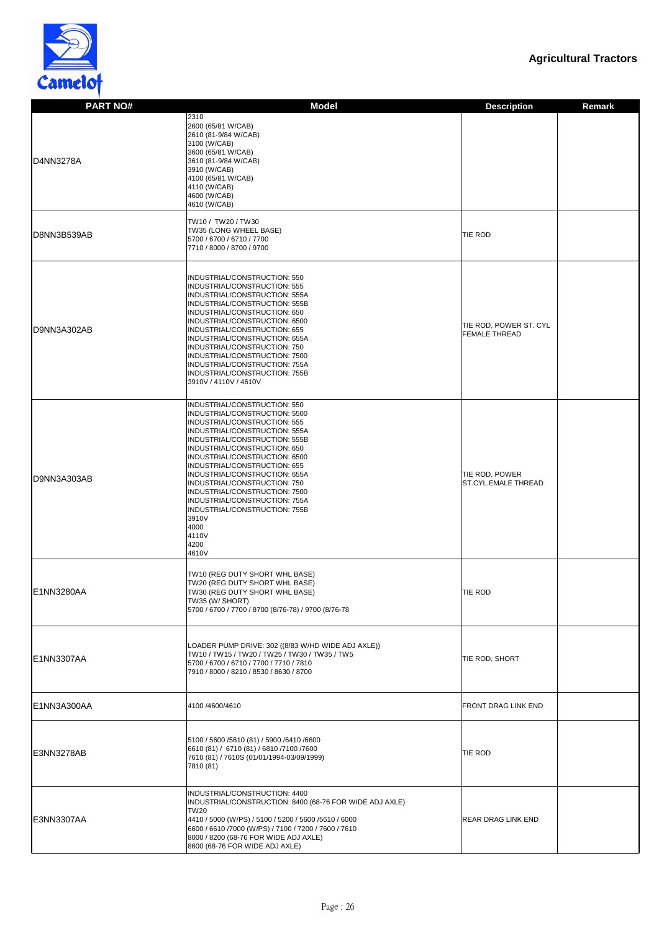

| <b>PART NO#</b> | <b>Model</b>                                                                                                                                                                                                                                                                                                                                                                                                                                                                    | <b>Description</b><br><b>Remark</b>            |
|-----------------|---------------------------------------------------------------------------------------------------------------------------------------------------------------------------------------------------------------------------------------------------------------------------------------------------------------------------------------------------------------------------------------------------------------------------------------------------------------------------------|------------------------------------------------|
| D4NN3278A       | 2310<br>2600 (65/81 W/CAB)<br>2610 (81-9/84 W/CAB)<br>3100 (W/CAB)<br>3600 (65/81 W/CAB)<br>3610 (81-9/84 W/CAB)<br>3910 (W/CAB)<br>4100 (65/81 W/CAB)<br>4110 (W/CAB)<br>4600 (W/CAB)<br>4610 (W/CAB)                                                                                                                                                                                                                                                                          |                                                |
| D8NN3B539AB     | TW10 / TW20 / TW30<br>TW35 (LONG WHEEL BASE)<br>5700 / 6700 / 6710 / 7700<br>7710 / 8000 / 8700 / 9700                                                                                                                                                                                                                                                                                                                                                                          | TIE ROD                                        |
| D9NN3A302AB     | INDUSTRIAL/CONSTRUCTION: 550<br>INDUSTRIAL/CONSTRUCTION: 555<br>INDUSTRIAL/CONSTRUCTION: 555A<br>INDUSTRIAL/CONSTRUCTION: 555B<br>INDUSTRIAL/CONSTRUCTION: 650<br>INDUSTRIAL/CONSTRUCTION: 6500<br>INDUSTRIAL/CONSTRUCTION: 655<br>INDUSTRIAL/CONSTRUCTION: 655A<br>INDUSTRIAL/CONSTRUCTION: 750<br>INDUSTRIAL/CONSTRUCTION: 7500<br>INDUSTRIAL/CONSTRUCTION: 755A<br>INDUSTRIAL/CONSTRUCTION: 755B<br>3910V / 4110V / 4610V                                                    | TIE ROD, POWER ST. CYL<br><b>FEMALE THREAD</b> |
| D9NN3A303AB     | INDUSTRIAL/CONSTRUCTION: 550<br>INDUSTRIAL/CONSTRUCTION: 5500<br>INDUSTRIAL/CONSTRUCTION: 555<br>INDUSTRIAL/CONSTRUCTION: 555A<br>INDUSTRIAL/CONSTRUCTION: 555B<br>INDUSTRIAL/CONSTRUCTION: 650<br>INDUSTRIAL/CONSTRUCTION: 6500<br>INDUSTRIAL/CONSTRUCTION: 655<br>INDUSTRIAL/CONSTRUCTION: 655A<br>INDUSTRIAL/CONSTRUCTION: 750<br>INDUSTRIAL/CONSTRUCTION: 7500<br>INDUSTRIAL/CONSTRUCTION: 755A<br>INDUSTRIAL/CONSTRUCTION: 755B<br>3910V<br>4000<br>4110V<br>4200<br>4610V | TIE ROD, POWER<br><b>ST.CYL.EMALE THREAD</b>   |
| E1NN3280AA      | TW10 (REG DUTY SHORT WHL BASE)<br>TW20 (REG DUTY SHORT WHL BASE)<br>TW30 (REG DUTY SHORT WHL BASE)<br>TW35 (W/ SHORT)<br>5700 / 6700 / 7700 / 8700 (8/76-78) / 9700 (8/76-78                                                                                                                                                                                                                                                                                                    | TIE ROD                                        |
| E1NN3307AA      | LOADER PUMP DRIVE: 302 ((8/83 W/HD WIDE ADJ AXLE))<br>TW10 / TW15 / TW20 / TW25 / TW30 / TW35 / TW5<br>5700 / 6700 / 6710 / 7700 / 7710 / 7810<br>7910 / 8000 / 8210 / 8530 / 8630 / 8700                                                                                                                                                                                                                                                                                       | TIE ROD, SHORT                                 |
| E1NN3A300AA     | 4100 /4600/4610                                                                                                                                                                                                                                                                                                                                                                                                                                                                 | <b>FRONT DRAG LINK END</b>                     |
| E3NN3278AB      | 5100 / 5600 / 5610 (81) / 5900 / 6410 / 6600<br>6610 (81) / 6710 (81) / 6810 /7100 /7600<br>7610 (81) / 7610S (01/01/1994-03/09/1999)<br>7810 (81)                                                                                                                                                                                                                                                                                                                              | <b>TIE ROD</b>                                 |
| E3NN3307AA      | INDUSTRIAL/CONSTRUCTION: 4400<br>INDUSTRIAL/CONSTRUCTION: 8400 (68-76 FOR WIDE ADJ AXLE)<br><b>TW20</b><br>4410 / 5000 (W/PS) / 5100 / 5200 / 5600 / 5610 / 6000<br>6600 / 6610 / 7000 (W/PS) / 7100 / 7200 / 7600 / 7610<br>8000 / 8200 (68-76 FOR WIDE ADJ AXLE)<br>8600 (68-76 FOR WIDE ADJ AXLE)                                                                                                                                                                            | <b>REAR DRAG LINK END</b>                      |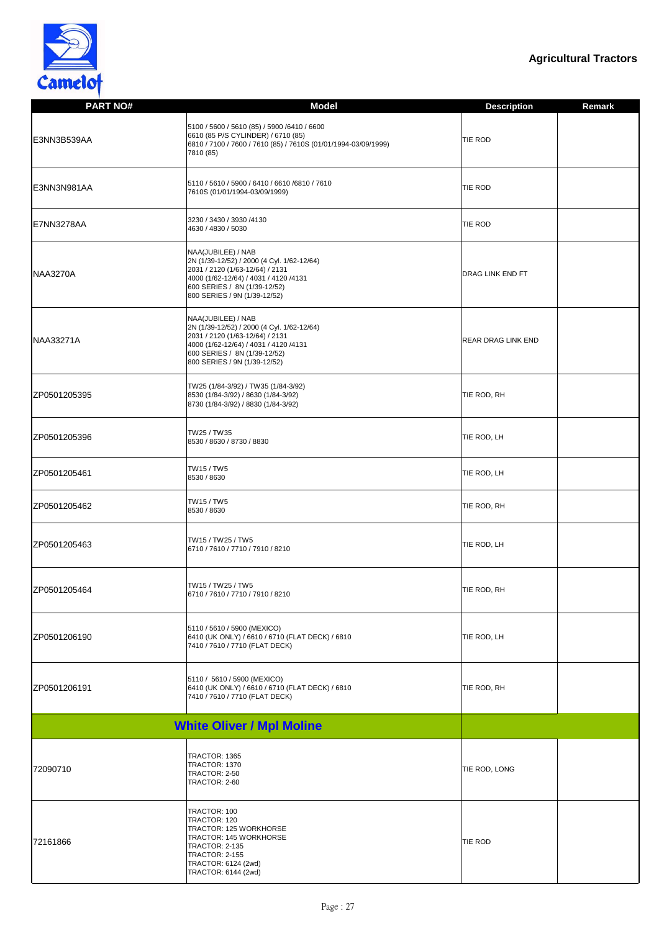

| <b>PART NO#</b>  | <b>Model</b>                                                                                                                                                                                                 | <b>Description</b>        | <b>Remark</b> |
|------------------|--------------------------------------------------------------------------------------------------------------------------------------------------------------------------------------------------------------|---------------------------|---------------|
| E3NN3B539AA      | 5100 / 5600 / 5610 (85) / 5900 /6410 / 6600<br>6610 (85 P/S CYLINDER) / 6710 (85)<br>6810 / 7100 / 7600 / 7610 (85) / 7610S (01/01/1994-03/09/1999)<br>7810 (85)                                             | <b>TIE ROD</b>            |               |
| E3NN3N981AA      | 5110 / 5610 / 5900 / 6410 / 6610 / 6810 / 7610<br>7610S (01/01/1994-03/09/1999)                                                                                                                              | <b>TIE ROD</b>            |               |
| E7NN3278AA       | 3230 / 3430 / 3930 / 4130<br>4630 / 4830 / 5030                                                                                                                                                              | <b>TIE ROD</b>            |               |
| <b>NAA3270A</b>  | NAA(JUBILEE) / NAB<br>2N (1/39-12/52) / 2000 (4 Cyl. 1/62-12/64)<br>2031 / 2120 (1/63-12/64) / 2131<br>4000 (1/62-12/64) / 4031 / 4120 /4131<br>600 SERIES / 8N (1/39-12/52)<br>800 SERIES / 9N (1/39-12/52) | <b>DRAG LINK END FT</b>   |               |
| <b>NAA33271A</b> | NAA(JUBILEE) / NAB<br>2N (1/39-12/52) / 2000 (4 Cyl. 1/62-12/64)<br>2031 / 2120 (1/63-12/64) / 2131<br>4000 (1/62-12/64) / 4031 / 4120 /4131<br>600 SERIES / 8N (1/39-12/52)<br>800 SERIES / 9N (1/39-12/52) | <b>REAR DRAG LINK END</b> |               |
| ZP0501205395     | TW25 (1/84-3/92) / TW35 (1/84-3/92)<br>8530 (1/84-3/92) / 8630 (1/84-3/92)<br>8730 (1/84-3/92) / 8830 (1/84-3/92)                                                                                            | TIE ROD, RH               |               |
| ZP0501205396     | TW25 / TW35<br>8530 / 8630 / 8730 / 8830                                                                                                                                                                     | TIE ROD, LH               |               |
| ZP0501205461     | TW15 / TW5<br>8530 / 8630                                                                                                                                                                                    | TIE ROD, LH               |               |
| ZP0501205462     | TW15 / TW5<br>8530 / 8630                                                                                                                                                                                    | TIE ROD, RH               |               |
| ZP0501205463     | TW15 / TW25 / TW5<br>6710 / 7610 / 7710 / 7910 / 8210                                                                                                                                                        | TIE ROD, LH               |               |
| ZP0501205464     | TW15 / TW25 / TW5<br>6710 / 7610 / 7710 / 7910 / 8210                                                                                                                                                        | TIE ROD, RH               |               |
| ZP0501206190     | 5110 / 5610 / 5900 (MEXICO)<br>6410 (UK ONLY) / 6610 / 6710 (FLAT DECK) / 6810<br>7410 / 7610 / 7710 (FLAT DECK)                                                                                             | TIE ROD, LH               |               |
| ZP0501206191     | 5110 / 5610 / 5900 (MEXICO)<br>6410 (UK ONLY) / 6610 / 6710 (FLAT DECK) / 6810<br>7410 / 7610 / 7710 (FLAT DECK)                                                                                             | TIE ROD, RH               |               |
|                  | <b>White Oliver / Mpl Moline</b>                                                                                                                                                                             |                           |               |
| 72090710         | TRACTOR: 1365<br>TRACTOR: 1370<br>TRACTOR: 2-50<br>TRACTOR: 2-60                                                                                                                                             | TIE ROD, LONG             |               |
| 72161866         | TRACTOR: 100<br>TRACTOR: 120<br>TRACTOR: 125 WORKHORSE<br>TRACTOR: 145 WORKHORSE<br><b>TRACTOR: 2-135</b><br><b>TRACTOR: 2-155</b><br>TRACTOR: 6124 (2wd)<br>TRACTOR: 6144 (2wd)                             | <b>TIE ROD</b>            |               |